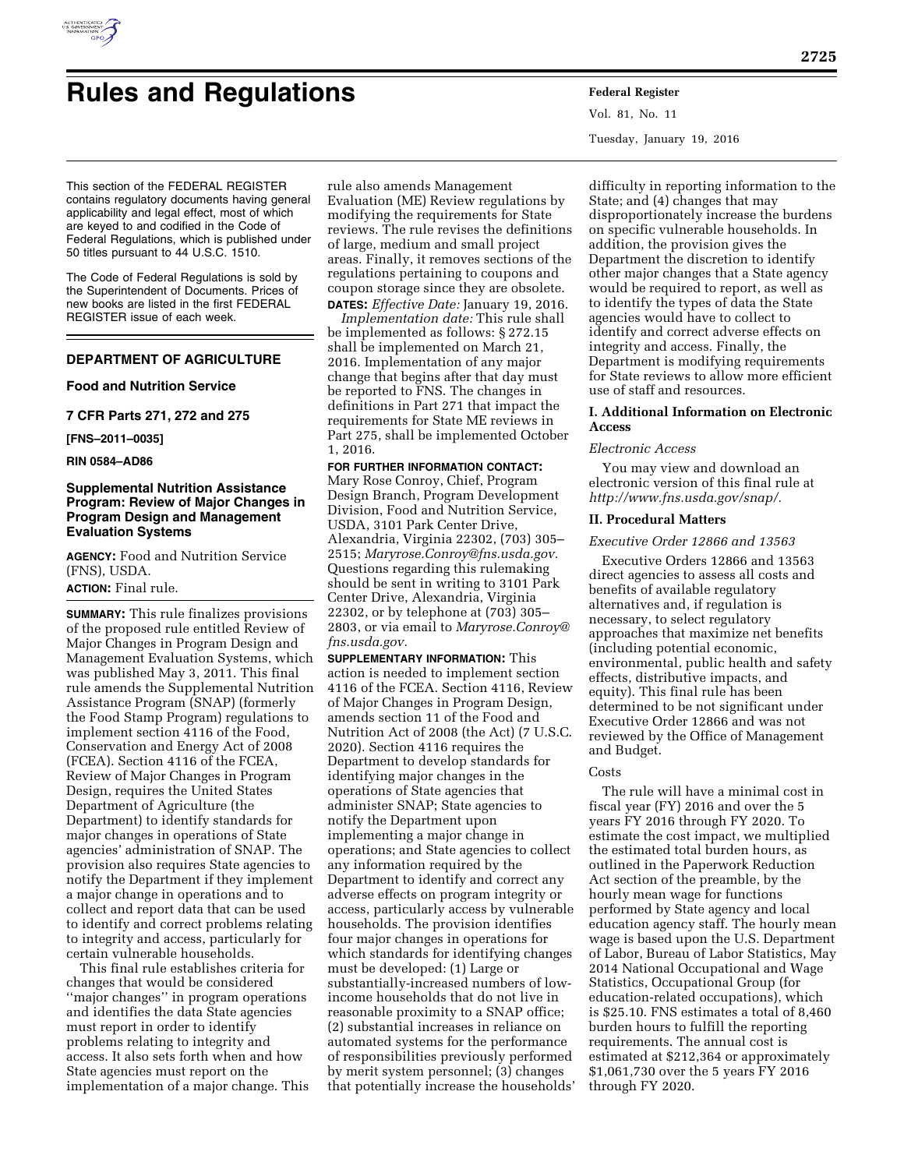

# **Rules and Regulations Federal Register**

This section of the FEDERAL REGISTER contains regulatory documents having general applicability and legal effect, most of which are keyed to and codified in the Code of Federal Regulations, which is published under 50 titles pursuant to 44 U.S.C. 1510.

The Code of Federal Regulations is sold by the Superintendent of Documents. Prices of new books are listed in the first FEDERAL REGISTER issue of each week.

# **DEPARTMENT OF AGRICULTURE**

## **Food and Nutrition Service**

**7 CFR Parts 271, 272 and 275** 

**[FNS–2011–0035]** 

**RIN 0584–AD86** 

# **Supplemental Nutrition Assistance Program: Review of Major Changes in Program Design and Management Evaluation Systems**

**AGENCY:** Food and Nutrition Service (FNS), USDA.

## **ACTION:** Final rule.

**SUMMARY:** This rule finalizes provisions of the proposed rule entitled Review of Major Changes in Program Design and Management Evaluation Systems, which was published May 3, 2011. This final rule amends the Supplemental Nutrition Assistance Program (SNAP) (formerly the Food Stamp Program) regulations to implement section 4116 of the Food, Conservation and Energy Act of 2008 (FCEA). Section 4116 of the FCEA, Review of Major Changes in Program Design, requires the United States Department of Agriculture (the Department) to identify standards for major changes in operations of State agencies' administration of SNAP. The provision also requires State agencies to notify the Department if they implement a major change in operations and to collect and report data that can be used to identify and correct problems relating to integrity and access, particularly for certain vulnerable households.

This final rule establishes criteria for changes that would be considered ''major changes'' in program operations and identifies the data State agencies must report in order to identify problems relating to integrity and access. It also sets forth when and how State agencies must report on the implementation of a major change. This

rule also amends Management Evaluation (ME) Review regulations by modifying the requirements for State reviews. The rule revises the definitions of large, medium and small project areas. Finally, it removes sections of the regulations pertaining to coupons and coupon storage since they are obsolete. **DATES:** *Effective Date:* January 19, 2016.

*Implementation date:* This rule shall be implemented as follows: § 272.15 shall be implemented on March 21, 2016. Implementation of any major change that begins after that day must be reported to FNS. The changes in definitions in Part 271 that impact the requirements for State ME reviews in Part 275, shall be implemented October 1, 2016.

#### **FOR FURTHER INFORMATION CONTACT:**

Mary Rose Conroy, Chief, Program Design Branch, Program Development Division, Food and Nutrition Service, USDA, 3101 Park Center Drive, Alexandria, Virginia 22302, (703) 305– 2515; *[Maryrose.Conroy@fns.usda.gov.](mailto:Maryrose.Conroy@fns.usda.gov)*  Questions regarding this rulemaking should be sent in writing to 3101 Park Center Drive, Alexandria, Virginia 22302, or by telephone at (703) 305– 2803, or via email to *[Maryrose.Conroy@](mailto:Maryrose.Conroy@fns.usda.gov) [fns.usda.gov.](mailto:Maryrose.Conroy@fns.usda.gov)* 

**SUPPLEMENTARY INFORMATION:** This action is needed to implement section 4116 of the FCEA. Section 4116, Review of Major Changes in Program Design, amends section 11 of the Food and Nutrition Act of 2008 (the Act) (7 U.S.C. 2020). Section 4116 requires the Department to develop standards for identifying major changes in the operations of State agencies that administer SNAP; State agencies to notify the Department upon implementing a major change in operations; and State agencies to collect any information required by the Department to identify and correct any adverse effects on program integrity or access, particularly access by vulnerable households. The provision identifies four major changes in operations for which standards for identifying changes must be developed: (1) Large or substantially-increased numbers of lowincome households that do not live in reasonable proximity to a SNAP office; (2) substantial increases in reliance on automated systems for the performance of responsibilities previously performed by merit system personnel; (3) changes that potentially increase the households'

Vol. 81, No. 11 Tuesday, January 19, 2016

difficulty in reporting information to the State; and (4) changes that may disproportionately increase the burdens on specific vulnerable households. In addition, the provision gives the Department the discretion to identify other major changes that a State agency would be required to report, as well as to identify the types of data the State agencies would have to collect to identify and correct adverse effects on integrity and access. Finally, the Department is modifying requirements for State reviews to allow more efficient use of staff and resources.

## **I. Additional Information on Electronic Access**

#### *Electronic Access*

You may view and download an electronic version of this final rule at *[http://www.fns.usda.gov/snap/.](http://www.fns.usda.gov/snap/)* 

#### **II. Procedural Matters**

#### *Executive Order 12866 and 13563*

Executive Orders 12866 and 13563 direct agencies to assess all costs and benefits of available regulatory alternatives and, if regulation is necessary, to select regulatory approaches that maximize net benefits (including potential economic, environmental, public health and safety effects, distributive impacts, and equity). This final rule has been determined to be not significant under Executive Order 12866 and was not reviewed by the Office of Management and Budget.

#### Costs

The rule will have a minimal cost in fiscal year (FY) 2016 and over the 5 years FY 2016 through FY 2020. To estimate the cost impact, we multiplied the estimated total burden hours, as outlined in the Paperwork Reduction Act section of the preamble, by the hourly mean wage for functions performed by State agency and local education agency staff. The hourly mean wage is based upon the U.S. Department of Labor, Bureau of Labor Statistics, May 2014 National Occupational and Wage Statistics, Occupational Group (for education-related occupations), which is \$25.10. FNS estimates a total of 8,460 burden hours to fulfill the reporting requirements. The annual cost is estimated at \$212,364 or approximately \$1,061,730 over the 5 years FY 2016 through FY 2020.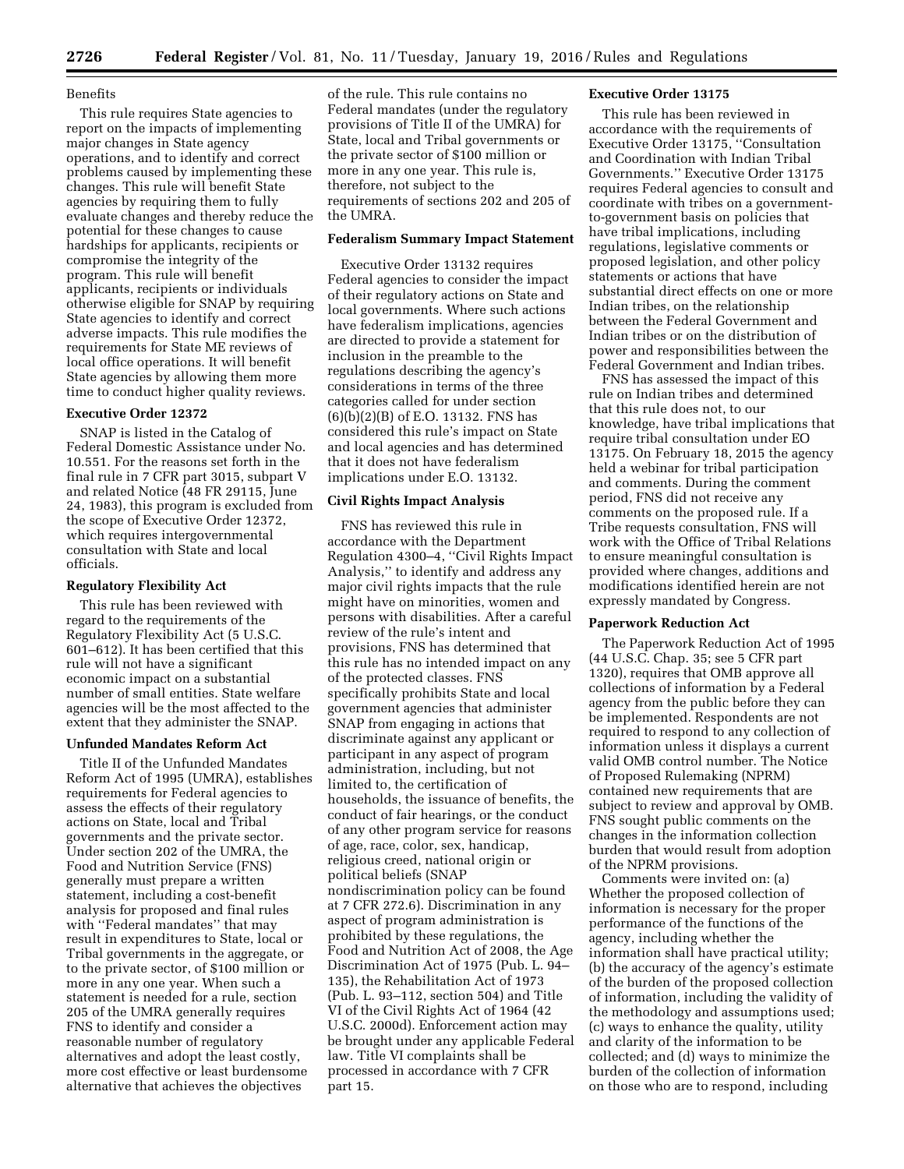## Benefits

This rule requires State agencies to report on the impacts of implementing major changes in State agency operations, and to identify and correct problems caused by implementing these changes. This rule will benefit State agencies by requiring them to fully evaluate changes and thereby reduce the potential for these changes to cause hardships for applicants, recipients or compromise the integrity of the program. This rule will benefit applicants, recipients or individuals otherwise eligible for SNAP by requiring State agencies to identify and correct adverse impacts. This rule modifies the requirements for State ME reviews of local office operations. It will benefit State agencies by allowing them more time to conduct higher quality reviews.

## **Executive Order 12372**

SNAP is listed in the Catalog of Federal Domestic Assistance under No. 10.551. For the reasons set forth in the final rule in 7 CFR part 3015, subpart V and related Notice (48 FR 29115, June 24, 1983), this program is excluded from the scope of Executive Order 12372, which requires intergovernmental consultation with State and local officials.

#### **Regulatory Flexibility Act**

This rule has been reviewed with regard to the requirements of the Regulatory Flexibility Act (5 U.S.C. 601–612). It has been certified that this rule will not have a significant economic impact on a substantial number of small entities. State welfare agencies will be the most affected to the extent that they administer the SNAP.

## **Unfunded Mandates Reform Act**

Title II of the Unfunded Mandates Reform Act of 1995 (UMRA), establishes requirements for Federal agencies to assess the effects of their regulatory actions on State, local and Tribal governments and the private sector. Under section 202 of the UMRA, the Food and Nutrition Service (FNS) generally must prepare a written statement, including a cost-benefit analysis for proposed and final rules with ''Federal mandates'' that may result in expenditures to State, local or Tribal governments in the aggregate, or to the private sector, of \$100 million or more in any one year. When such a statement is needed for a rule, section 205 of the UMRA generally requires FNS to identify and consider a reasonable number of regulatory alternatives and adopt the least costly, more cost effective or least burdensome alternative that achieves the objectives

of the rule. This rule contains no Federal mandates (under the regulatory provisions of Title II of the UMRA) for State, local and Tribal governments or the private sector of \$100 million or more in any one year. This rule is, therefore, not subject to the requirements of sections 202 and 205 of the UMRA.

#### **Federalism Summary Impact Statement**

Executive Order 13132 requires Federal agencies to consider the impact of their regulatory actions on State and local governments. Where such actions have federalism implications, agencies are directed to provide a statement for inclusion in the preamble to the regulations describing the agency's considerations in terms of the three categories called for under section (6)(b)(2)(B) of E.O. 13132. FNS has considered this rule's impact on State and local agencies and has determined that it does not have federalism implications under E.O. 13132.

# **Civil Rights Impact Analysis**

FNS has reviewed this rule in accordance with the Department Regulation 4300–4, ''Civil Rights Impact Analysis,'' to identify and address any major civil rights impacts that the rule might have on minorities, women and persons with disabilities. After a careful review of the rule's intent and provisions, FNS has determined that this rule has no intended impact on any of the protected classes. FNS specifically prohibits State and local government agencies that administer SNAP from engaging in actions that discriminate against any applicant or participant in any aspect of program administration, including, but not limited to, the certification of households, the issuance of benefits, the conduct of fair hearings, or the conduct of any other program service for reasons of age, race, color, sex, handicap, religious creed, national origin or political beliefs (SNAP nondiscrimination policy can be found at 7 CFR 272.6). Discrimination in any aspect of program administration is prohibited by these regulations, the Food and Nutrition Act of 2008, the Age Discrimination Act of 1975 (Pub. L. 94– 135), the Rehabilitation Act of 1973 (Pub. L. 93–112, section 504) and Title VI of the Civil Rights Act of 1964 (42 U.S.C. 2000d). Enforcement action may be brought under any applicable Federal law. Title VI complaints shall be processed in accordance with 7 CFR part 15.

## **Executive Order 13175**

This rule has been reviewed in accordance with the requirements of Executive Order 13175, ''Consultation and Coordination with Indian Tribal Governments.'' Executive Order 13175 requires Federal agencies to consult and coordinate with tribes on a governmentto-government basis on policies that have tribal implications, including regulations, legislative comments or proposed legislation, and other policy statements or actions that have substantial direct effects on one or more Indian tribes, on the relationship between the Federal Government and Indian tribes or on the distribution of power and responsibilities between the Federal Government and Indian tribes.

FNS has assessed the impact of this rule on Indian tribes and determined that this rule does not, to our knowledge, have tribal implications that require tribal consultation under EO 13175. On February 18, 2015 the agency held a webinar for tribal participation and comments. During the comment period, FNS did not receive any comments on the proposed rule. If a Tribe requests consultation, FNS will work with the Office of Tribal Relations to ensure meaningful consultation is provided where changes, additions and modifications identified herein are not expressly mandated by Congress.

#### **Paperwork Reduction Act**

The Paperwork Reduction Act of 1995 (44 U.S.C. Chap. 35; see 5 CFR part 1320), requires that OMB approve all collections of information by a Federal agency from the public before they can be implemented. Respondents are not required to respond to any collection of information unless it displays a current valid OMB control number. The Notice of Proposed Rulemaking (NPRM) contained new requirements that are subject to review and approval by OMB. FNS sought public comments on the changes in the information collection burden that would result from adoption of the NPRM provisions.

Comments were invited on: (a) Whether the proposed collection of information is necessary for the proper performance of the functions of the agency, including whether the information shall have practical utility; (b) the accuracy of the agency's estimate of the burden of the proposed collection of information, including the validity of the methodology and assumptions used; (c) ways to enhance the quality, utility and clarity of the information to be collected; and (d) ways to minimize the burden of the collection of information on those who are to respond, including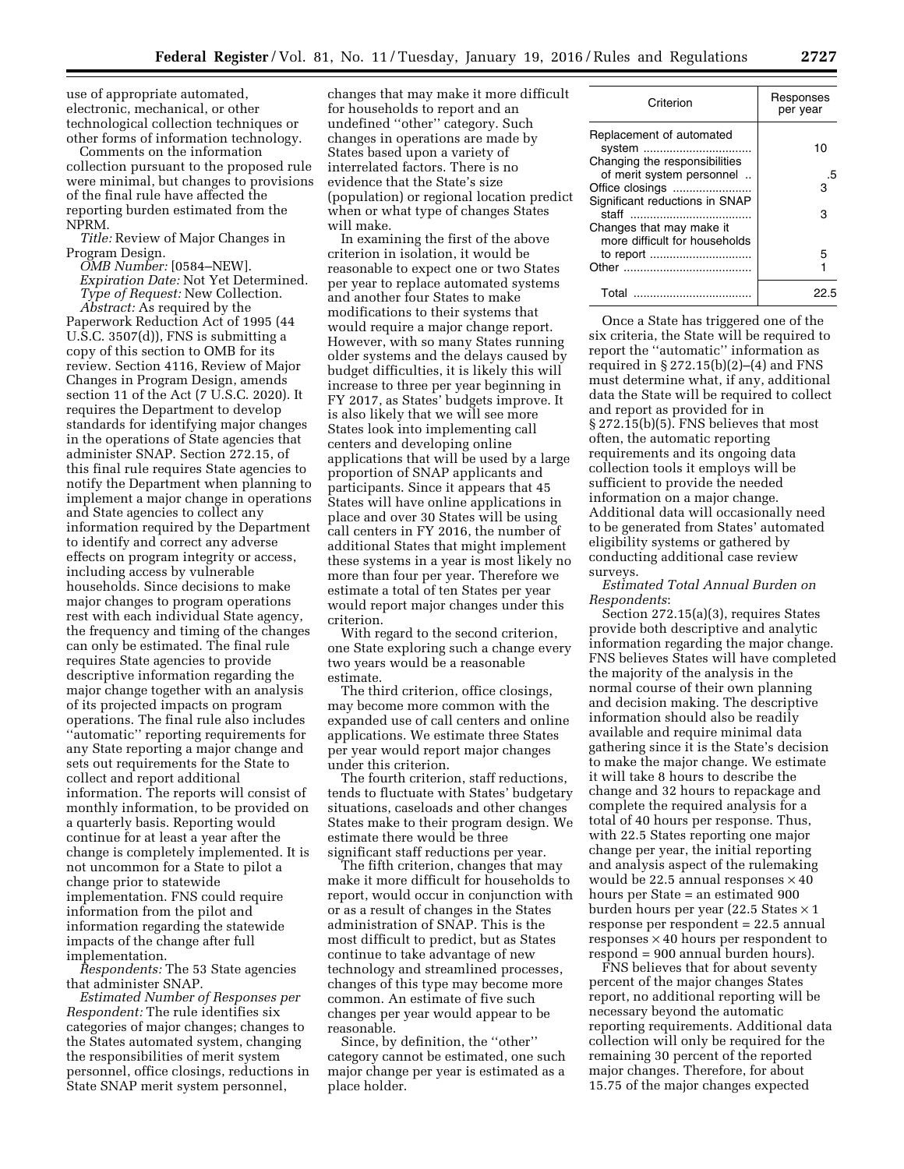use of appropriate automated, electronic, mechanical, or other technological collection techniques or other forms of information technology.

Comments on the information collection pursuant to the proposed rule were minimal, but changes to provisions of the final rule have affected the reporting burden estimated from the NPRM.

*Title:* Review of Major Changes in Program Design.

*OMB Number:* [0584–NEW]. *Expiration Date:* Not Yet Determined. *Type of Request:* New Collection.

*Abstract:* As required by the Paperwork Reduction Act of 1995 (44 U.S.C. 3507(d)), FNS is submitting a copy of this section to OMB for its review. Section 4116, Review of Major Changes in Program Design, amends section 11 of the Act (7 U.S.C. 2020). It requires the Department to develop standards for identifying major changes in the operations of State agencies that administer SNAP. Section 272.15, of this final rule requires State agencies to notify the Department when planning to implement a major change in operations and State agencies to collect any information required by the Department to identify and correct any adverse effects on program integrity or access, including access by vulnerable households. Since decisions to make major changes to program operations rest with each individual State agency, the frequency and timing of the changes can only be estimated. The final rule requires State agencies to provide descriptive information regarding the major change together with an analysis of its projected impacts on program operations. The final rule also includes ''automatic'' reporting requirements for any State reporting a major change and sets out requirements for the State to collect and report additional information. The reports will consist of monthly information, to be provided on a quarterly basis. Reporting would continue for at least a year after the change is completely implemented. It is not uncommon for a State to pilot a change prior to statewide implementation. FNS could require information from the pilot and information regarding the statewide impacts of the change after full implementation.

*Respondents:* The 53 State agencies that administer SNAP.

*Estimated Number of Responses per Respondent:* The rule identifies six categories of major changes; changes to the States automated system, changing the responsibilities of merit system personnel, office closings, reductions in State SNAP merit system personnel,

changes that may make it more difficult for households to report and an undefined ''other'' category. Such changes in operations are made by States based upon a variety of interrelated factors. There is no evidence that the State's size (population) or regional location predict when or what type of changes States will make.

In examining the first of the above criterion in isolation, it would be reasonable to expect one or two States per year to replace automated systems and another four States to make modifications to their systems that would require a major change report. However, with so many States running older systems and the delays caused by budget difficulties, it is likely this will increase to three per year beginning in FY 2017, as States' budgets improve. It is also likely that we will see more States look into implementing call centers and developing online applications that will be used by a large proportion of SNAP applicants and participants. Since it appears that 45 States will have online applications in place and over 30 States will be using call centers in FY 2016, the number of additional States that might implement these systems in a year is most likely no more than four per year. Therefore we estimate a total of ten States per year would report major changes under this criterion.

With regard to the second criterion, one State exploring such a change every two years would be a reasonable estimate.

The third criterion, office closings, may become more common with the expanded use of call centers and online applications. We estimate three States per year would report major changes under this criterion.

The fourth criterion, staff reductions, tends to fluctuate with States' budgetary situations, caseloads and other changes States make to their program design. We estimate there would be three significant staff reductions per year.

The fifth criterion, changes that may make it more difficult for households to report, would occur in conjunction with or as a result of changes in the States administration of SNAP. This is the most difficult to predict, but as States continue to take advantage of new technology and streamlined processes, changes of this type may become more common. An estimate of five such changes per year would appear to be reasonable.

Since, by definition, the ''other'' category cannot be estimated, one such major change per year is estimated as a place holder.

| Criterion                                                           | Responses<br>per year |
|---------------------------------------------------------------------|-----------------------|
| Replacement of automated<br>system<br>Changing the responsibilities | 10                    |
| of merit system personnel                                           | .5                    |
| Office closings                                                     | з                     |
| Significant reductions in SNAP                                      |                       |
|                                                                     | З                     |
| Changes that may make it                                            |                       |
| more difficult for households                                       |                       |
|                                                                     | 5                     |
|                                                                     |                       |
| Total                                                               | 22 F                  |

Once a State has triggered one of the six criteria, the State will be required to report the ''automatic'' information as required in  $\S 272.15(b)(2)–(4)$  and FNS must determine what, if any, additional data the State will be required to collect and report as provided for in § 272.15(b)(5). FNS believes that most often, the automatic reporting requirements and its ongoing data collection tools it employs will be sufficient to provide the needed information on a major change. Additional data will occasionally need to be generated from States' automated eligibility systems or gathered by conducting additional case review surveys.

## *Estimated Total Annual Burden on Respondents*:

Section 272.15(a)(3), requires States provide both descriptive and analytic information regarding the major change. FNS believes States will have completed the majority of the analysis in the normal course of their own planning and decision making. The descriptive information should also be readily available and require minimal data gathering since it is the State's decision to make the major change. We estimate it will take 8 hours to describe the change and 32 hours to repackage and complete the required analysis for a total of 40 hours per response. Thus, with 22.5 States reporting one major change per year, the initial reporting and analysis aspect of the rulemaking would be 22.5 annual responses  $\times$  40 hours per State = an estimated 900 burden hours per year (22.5 States × 1 response per respondent = 22.5 annual responses  $\times$  40 hours per respondent to respond = 900 annual burden hours).

FNS believes that for about seventy percent of the major changes States report, no additional reporting will be necessary beyond the automatic reporting requirements. Additional data collection will only be required for the remaining 30 percent of the reported major changes. Therefore, for about 15.75 of the major changes expected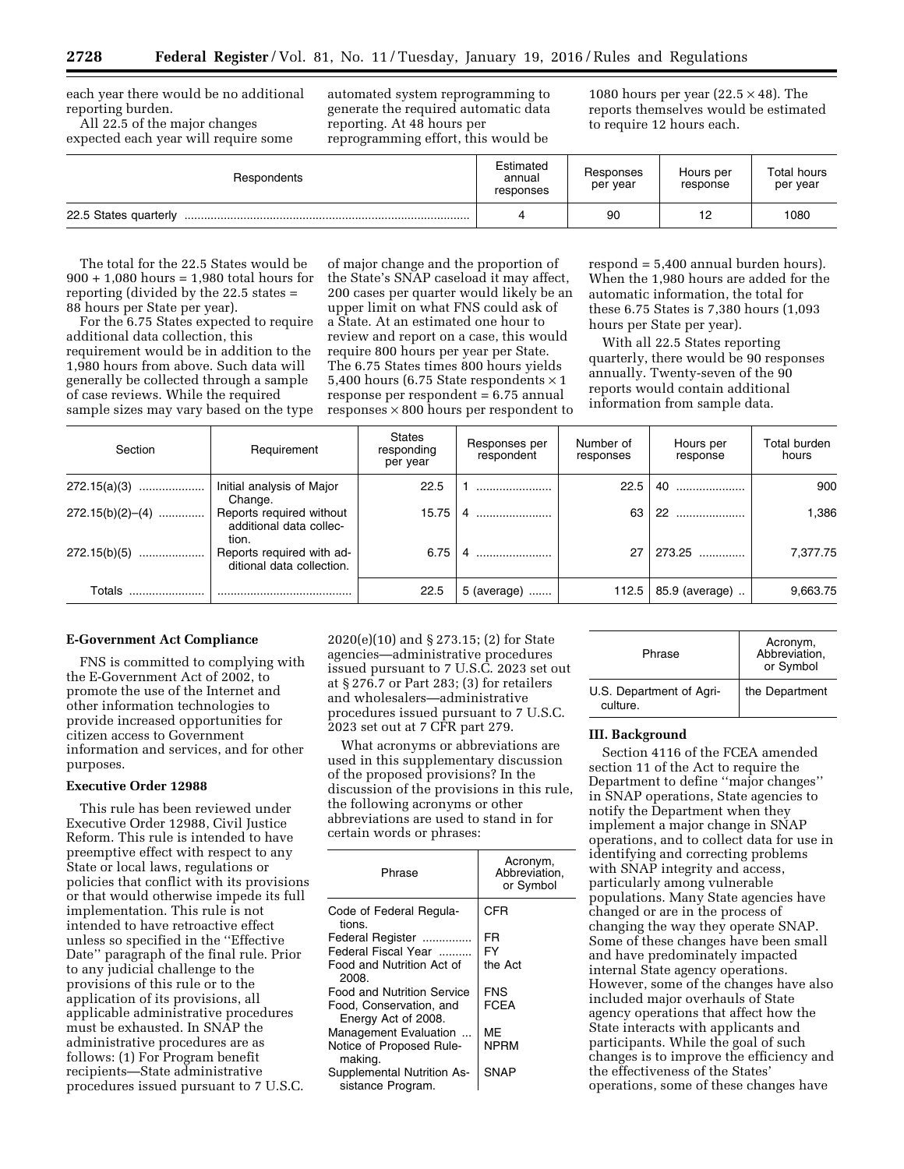each year there would be no additional reporting burden.

All 22.5 of the major changes expected each year will require some

automated system reprogramming to generate the required automatic data reporting. At 48 hours per reprogramming effort, this would be

1080 hours per year  $(22.5 \times 48)$ . The reports themselves would be estimated to require 12 hours each.

| Respondents           | Estimated<br>annual<br>responses | Responses<br>per year | Hours per<br>response | Total hours<br>per year |
|-----------------------|----------------------------------|-----------------------|-----------------------|-------------------------|
| 22.5 States quarterly |                                  | 90                    | 12                    | 1080                    |

The total for the 22.5 States would be 900 + 1,080 hours = 1,980 total hours for reporting (divided by the 22.5 states = 88 hours per State per year).

For the 6.75 States expected to require additional data collection, this requirement would be in addition to the 1,980 hours from above. Such data will generally be collected through a sample of case reviews. While the required sample sizes may vary based on the type

of major change and the proportion of the State's SNAP caseload it may affect, 200 cases per quarter would likely be an upper limit on what FNS could ask of a State. At an estimated one hour to review and report on a case, this would require 800 hours per year per State. The 6.75 States times 800 hours yields 5,400 hours (6.75 State respondents  $\times$  1 response per respondent = 6.75 annual responses  $\times 800$  hours per respondent to

respond = 5,400 annual burden hours). When the 1,980 hours are added for the automatic information, the total for these 6.75 States is 7,380 hours (1,093 hours per State per year).

With all 22.5 States reporting quarterly, there would be 90 responses annually. Twenty-seven of the 90 reports would contain additional information from sample data.

| Section            | Requirement                                                  | <b>States</b><br>responding<br>per year | Responses per<br>respondent | Number of<br>responses | Hours per<br>response | Total burden<br>hours |
|--------------------|--------------------------------------------------------------|-----------------------------------------|-----------------------------|------------------------|-----------------------|-----------------------|
| $272.15(a)(3)$     | Initial analysis of Major<br>Change.                         | 22.5                                    |                             | 22.5                   |                       | 900                   |
| $272.15(b)(2)–(4)$ | Reports required without<br>additional data collec-<br>tion. | 15.75                                   |                             | 63                     | $22$                  | 1.386                 |
| $272.15(b)(5)$     | Reports required with ad-<br>ditional data collection.       | 6.75                                    |                             | 27                     | 273.25                | 7.377.75              |
| Totals             |                                                              | 22.5                                    | 5 (average)                 | 112.5                  | 85.9 (average)        | 9,663.75              |

# **E-Government Act Compliance**

FNS is committed to complying with the E-Government Act of 2002, to promote the use of the Internet and other information technologies to provide increased opportunities for citizen access to Government information and services, and for other purposes.

#### **Executive Order 12988**

This rule has been reviewed under Executive Order 12988, Civil Justice Reform. This rule is intended to have preemptive effect with respect to any State or local laws, regulations or policies that conflict with its provisions or that would otherwise impede its full implementation. This rule is not intended to have retroactive effect unless so specified in the ''Effective Date'' paragraph of the final rule. Prior to any judicial challenge to the provisions of this rule or to the application of its provisions, all applicable administrative procedures must be exhausted. In SNAP the administrative procedures are as follows: (1) For Program benefit recipients—State administrative procedures issued pursuant to 7 U.S.C.

2020(e)(10) and § 273.15; (2) for State agencies—administrative procedures issued pursuant to 7 U.S.C. 2023 set out at § 276.7 or Part 283; (3) for retailers and wholesalers—administrative procedures issued pursuant to 7 U.S.C. 2023 set out at 7 CFR part 279.

What acronyms or abbreviations are used in this supplementary discussion of the proposed provisions? In the discussion of the provisions in this rule, the following acronyms or other abbreviations are used to stand in for certain words or phrases:

| Phrase                                          | Acronym,<br>Abbreviation.<br>or Symbol |
|-------------------------------------------------|----------------------------------------|
| Code of Federal Regula-<br>tions.               | CFR                                    |
| Federal Register                                | FR                                     |
| Federal Fiscal Year                             | FY                                     |
| Food and Nutrition Act of<br>2008.              | the Act                                |
| Food and Nutrition Service                      | <b>FNS</b>                             |
| Food, Conservation, and<br>Energy Act of 2008.  | <b>FCEA</b>                            |
| Management Evaluation                           | ME                                     |
| Notice of Proposed Rule-<br>making.             | <b>NPRM</b>                            |
| Supplemental Nutrition As-<br>sistance Program. | SNAP                                   |

| Phrase                               | Acronym,<br>Abbreviation,<br>or Symbol |
|--------------------------------------|----------------------------------------|
| U.S. Department of Agri-<br>culture. | the Department                         |

#### **III. Background**

Section 4116 of the FCEA amended section 11 of the Act to require the Department to define ''major changes'' in SNAP operations, State agencies to notify the Department when they implement a major change in SNAP operations, and to collect data for use in identifying and correcting problems with SNAP integrity and access, particularly among vulnerable populations. Many State agencies have changed or are in the process of changing the way they operate SNAP. Some of these changes have been small and have predominately impacted internal State agency operations. However, some of the changes have also included major overhauls of State agency operations that affect how the State interacts with applicants and participants. While the goal of such changes is to improve the efficiency and the effectiveness of the States' operations, some of these changes have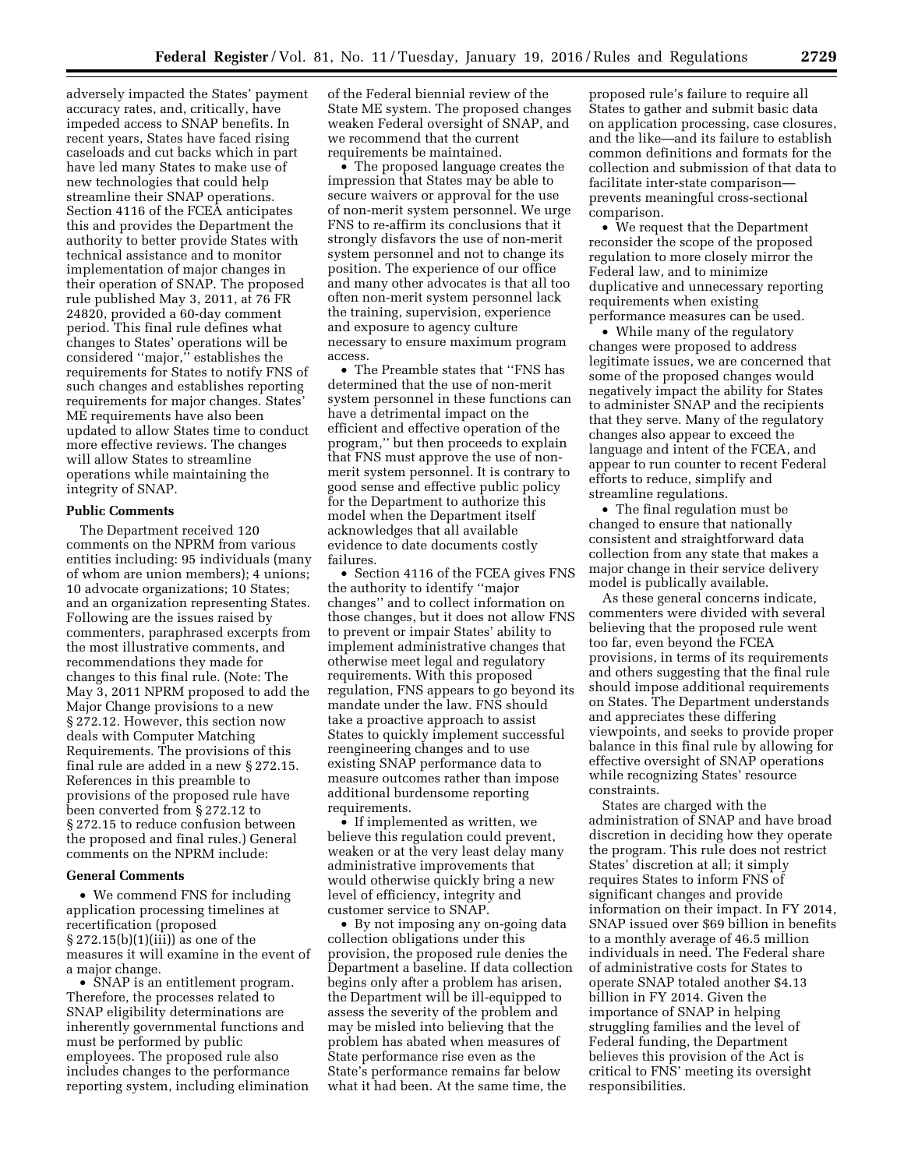adversely impacted the States' payment accuracy rates, and, critically, have impeded access to SNAP benefits. In recent years, States have faced rising caseloads and cut backs which in part have led many States to make use of new technologies that could help streamline their SNAP operations. Section 4116 of the FCEA anticipates this and provides the Department the authority to better provide States with technical assistance and to monitor implementation of major changes in their operation of SNAP. The proposed rule published May 3, 2011, at 76 FR 24820, provided a 60-day comment period. This final rule defines what changes to States' operations will be considered ''major,'' establishes the requirements for States to notify FNS of such changes and establishes reporting requirements for major changes. States' ME requirements have also been updated to allow States time to conduct more effective reviews. The changes will allow States to streamline operations while maintaining the integrity of SNAP.

## **Public Comments**

The Department received 120 comments on the NPRM from various entities including: 95 individuals (many of whom are union members); 4 unions; 10 advocate organizations; 10 States; and an organization representing States. Following are the issues raised by commenters, paraphrased excerpts from the most illustrative comments, and recommendations they made for changes to this final rule. (Note: The May 3, 2011 NPRM proposed to add the Major Change provisions to a new § 272.12. However, this section now deals with Computer Matching Requirements. The provisions of this final rule are added in a new § 272.15. References in this preamble to provisions of the proposed rule have been converted from § 272.12 to § 272.15 to reduce confusion between the proposed and final rules.) General comments on the NPRM include:

#### **General Comments**

• We commend FNS for including application processing timelines at recertification (proposed § 272.15(b)(1)(iii)) as one of the measures it will examine in the event of a major change.

• SNAP is an entitlement program. Therefore, the processes related to SNAP eligibility determinations are inherently governmental functions and must be performed by public employees. The proposed rule also includes changes to the performance reporting system, including elimination of the Federal biennial review of the State ME system. The proposed changes weaken Federal oversight of SNAP, and we recommend that the current requirements be maintained.

• The proposed language creates the impression that States may be able to secure waivers or approval for the use of non-merit system personnel. We urge FNS to re-affirm its conclusions that it strongly disfavors the use of non-merit system personnel and not to change its position. The experience of our office and many other advocates is that all too often non-merit system personnel lack the training, supervision, experience and exposure to agency culture necessary to ensure maximum program access.

• The Preamble states that ''FNS has determined that the use of non-merit system personnel in these functions can have a detrimental impact on the efficient and effective operation of the program,'' but then proceeds to explain that FNS must approve the use of nonmerit system personnel. It is contrary to good sense and effective public policy for the Department to authorize this model when the Department itself acknowledges that all available evidence to date documents costly failures.

• Section 4116 of the FCEA gives FNS the authority to identify ''major changes'' and to collect information on those changes, but it does not allow FNS to prevent or impair States' ability to implement administrative changes that otherwise meet legal and regulatory requirements. With this proposed regulation, FNS appears to go beyond its mandate under the law. FNS should take a proactive approach to assist States to quickly implement successful reengineering changes and to use existing SNAP performance data to measure outcomes rather than impose additional burdensome reporting requirements.

• If implemented as written, we believe this regulation could prevent, weaken or at the very least delay many administrative improvements that would otherwise quickly bring a new level of efficiency, integrity and customer service to SNAP.

• By not imposing any on-going data collection obligations under this provision, the proposed rule denies the Department a baseline. If data collection begins only after a problem has arisen, the Department will be ill-equipped to assess the severity of the problem and may be misled into believing that the problem has abated when measures of State performance rise even as the State's performance remains far below what it had been. At the same time, the

proposed rule's failure to require all States to gather and submit basic data on application processing, case closures, and the like—and its failure to establish common definitions and formats for the collection and submission of that data to facilitate inter-state comparison prevents meaningful cross-sectional comparison.

• We request that the Department reconsider the scope of the proposed regulation to more closely mirror the Federal law, and to minimize duplicative and unnecessary reporting requirements when existing performance measures can be used.

• While many of the regulatory changes were proposed to address legitimate issues, we are concerned that some of the proposed changes would negatively impact the ability for States to administer SNAP and the recipients that they serve. Many of the regulatory changes also appear to exceed the language and intent of the FCEA, and appear to run counter to recent Federal efforts to reduce, simplify and streamline regulations.

• The final regulation must be changed to ensure that nationally consistent and straightforward data collection from any state that makes a major change in their service delivery model is publically available.

As these general concerns indicate, commenters were divided with several believing that the proposed rule went too far, even beyond the FCEA provisions, in terms of its requirements and others suggesting that the final rule should impose additional requirements on States. The Department understands and appreciates these differing viewpoints, and seeks to provide proper balance in this final rule by allowing for effective oversight of SNAP operations while recognizing States' resource constraints.

States are charged with the administration of SNAP and have broad discretion in deciding how they operate the program. This rule does not restrict States' discretion at all; it simply requires States to inform FNS of significant changes and provide information on their impact. In FY 2014, SNAP issued over \$69 billion in benefits to a monthly average of 46.5 million individuals in need. The Federal share of administrative costs for States to operate SNAP totaled another \$4.13 billion in FY 2014. Given the importance of SNAP in helping struggling families and the level of Federal funding, the Department believes this provision of the Act is critical to FNS' meeting its oversight responsibilities.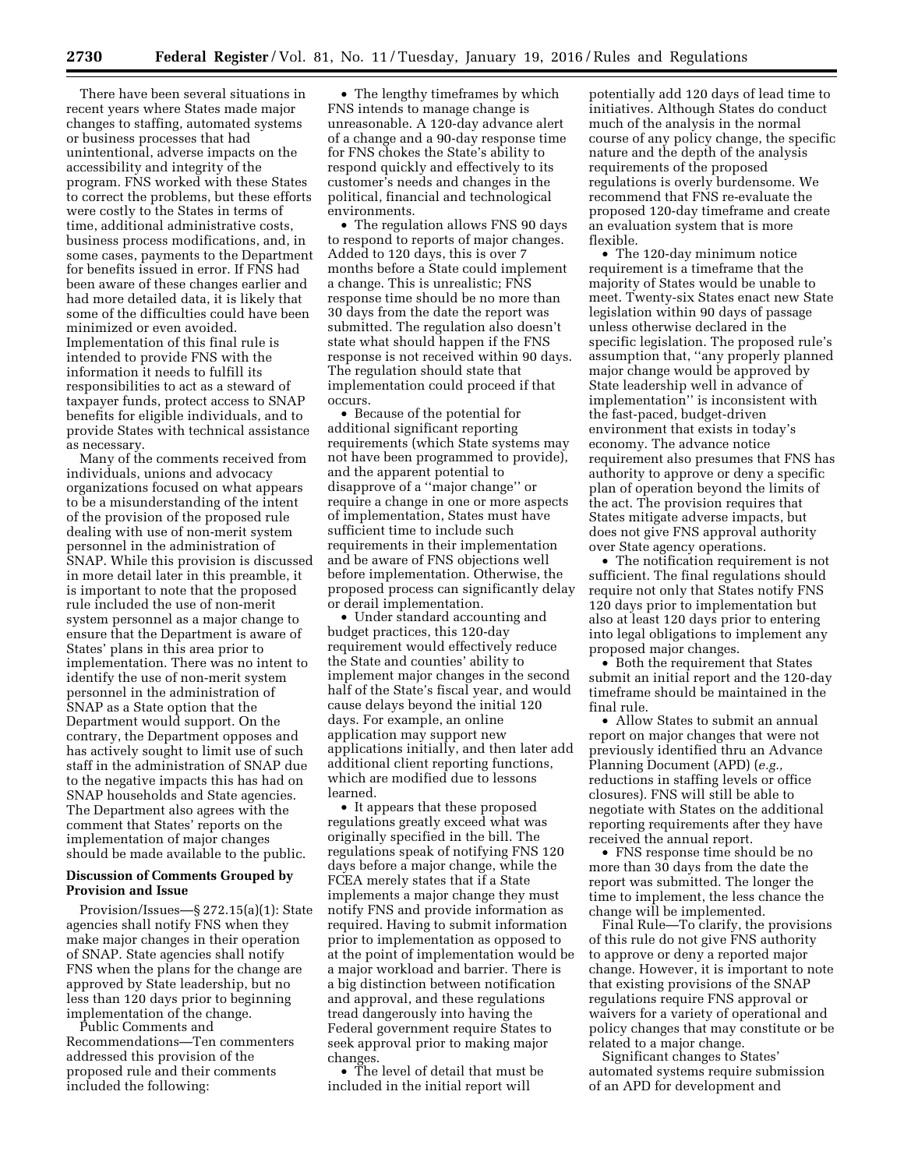There have been several situations in recent years where States made major changes to staffing, automated systems or business processes that had unintentional, adverse impacts on the accessibility and integrity of the program. FNS worked with these States to correct the problems, but these efforts were costly to the States in terms of time, additional administrative costs, business process modifications, and, in some cases, payments to the Department for benefits issued in error. If FNS had been aware of these changes earlier and had more detailed data, it is likely that some of the difficulties could have been minimized or even avoided. Implementation of this final rule is intended to provide FNS with the information it needs to fulfill its responsibilities to act as a steward of taxpayer funds, protect access to SNAP benefits for eligible individuals, and to provide States with technical assistance as necessary.

Many of the comments received from individuals, unions and advocacy organizations focused on what appears to be a misunderstanding of the intent of the provision of the proposed rule dealing with use of non-merit system personnel in the administration of SNAP. While this provision is discussed in more detail later in this preamble, it is important to note that the proposed rule included the use of non-merit system personnel as a major change to ensure that the Department is aware of States' plans in this area prior to implementation. There was no intent to identify the use of non-merit system personnel in the administration of SNAP as a State option that the Department would support. On the contrary, the Department opposes and has actively sought to limit use of such staff in the administration of SNAP due to the negative impacts this has had on SNAP households and State agencies. The Department also agrees with the comment that States' reports on the implementation of major changes should be made available to the public.

## **Discussion of Comments Grouped by Provision and Issue**

Provision/Issues—§ 272.15(a)(1): State agencies shall notify FNS when they make major changes in their operation of SNAP. State agencies shall notify FNS when the plans for the change are approved by State leadership, but no less than 120 days prior to beginning implementation of the change.

Public Comments and Recommendations—Ten commenters addressed this provision of the proposed rule and their comments included the following:

• The lengthy timeframes by which FNS intends to manage change is unreasonable. A 120-day advance alert of a change and a 90-day response time for FNS chokes the State's ability to respond quickly and effectively to its customer's needs and changes in the political, financial and technological environments.

• The regulation allows FNS 90 days to respond to reports of major changes. Added to 120 days, this is over 7 months before a State could implement a change. This is unrealistic; FNS response time should be no more than 30 days from the date the report was submitted. The regulation also doesn't state what should happen if the FNS response is not received within 90 days. The regulation should state that implementation could proceed if that occurs.

• Because of the potential for additional significant reporting requirements (which State systems may not have been programmed to provide), and the apparent potential to disapprove of a ''major change'' or require a change in one or more aspects of implementation, States must have sufficient time to include such requirements in their implementation and be aware of FNS objections well before implementation. Otherwise, the proposed process can significantly delay or derail implementation.

• Under standard accounting and budget practices, this 120-day requirement would effectively reduce the State and counties' ability to implement major changes in the second half of the State's fiscal year, and would cause delays beyond the initial 120 days. For example, an online application may support new applications initially, and then later add additional client reporting functions, which are modified due to lessons learned.

• It appears that these proposed regulations greatly exceed what was originally specified in the bill. The regulations speak of notifying FNS 120 days before a major change, while the FCEA merely states that if a State implements a major change they must notify FNS and provide information as required. Having to submit information prior to implementation as opposed to at the point of implementation would be a major workload and barrier. There is a big distinction between notification and approval, and these regulations tread dangerously into having the Federal government require States to seek approval prior to making major changes.

• The level of detail that must be included in the initial report will

potentially add 120 days of lead time to initiatives. Although States do conduct much of the analysis in the normal course of any policy change, the specific nature and the depth of the analysis requirements of the proposed regulations is overly burdensome. We recommend that FNS re-evaluate the proposed 120-day timeframe and create an evaluation system that is more flexible.

• The 120-day minimum notice requirement is a timeframe that the majority of States would be unable to meet. Twenty-six States enact new State legislation within 90 days of passage unless otherwise declared in the specific legislation. The proposed rule's assumption that, ''any properly planned major change would be approved by State leadership well in advance of implementation'' is inconsistent with the fast-paced, budget-driven environment that exists in today's economy. The advance notice requirement also presumes that FNS has authority to approve or deny a specific plan of operation beyond the limits of the act. The provision requires that States mitigate adverse impacts, but does not give FNS approval authority over State agency operations.

• The notification requirement is not sufficient. The final regulations should require not only that States notify FNS 120 days prior to implementation but also at least 120 days prior to entering into legal obligations to implement any proposed major changes.

• Both the requirement that States submit an initial report and the 120-day timeframe should be maintained in the final rule.

• Allow States to submit an annual report on major changes that were not previously identified thru an Advance Planning Document (APD) (*e.g.,*  reductions in staffing levels or office closures). FNS will still be able to negotiate with States on the additional reporting requirements after they have received the annual report.

• FNS response time should be no more than 30 days from the date the report was submitted. The longer the time to implement, the less chance the change will be implemented.

Final Rule—To clarify, the provisions of this rule do not give FNS authority to approve or deny a reported major change. However, it is important to note that existing provisions of the SNAP regulations require FNS approval or waivers for a variety of operational and policy changes that may constitute or be related to a major change.

Significant changes to States' automated systems require submission of an APD for development and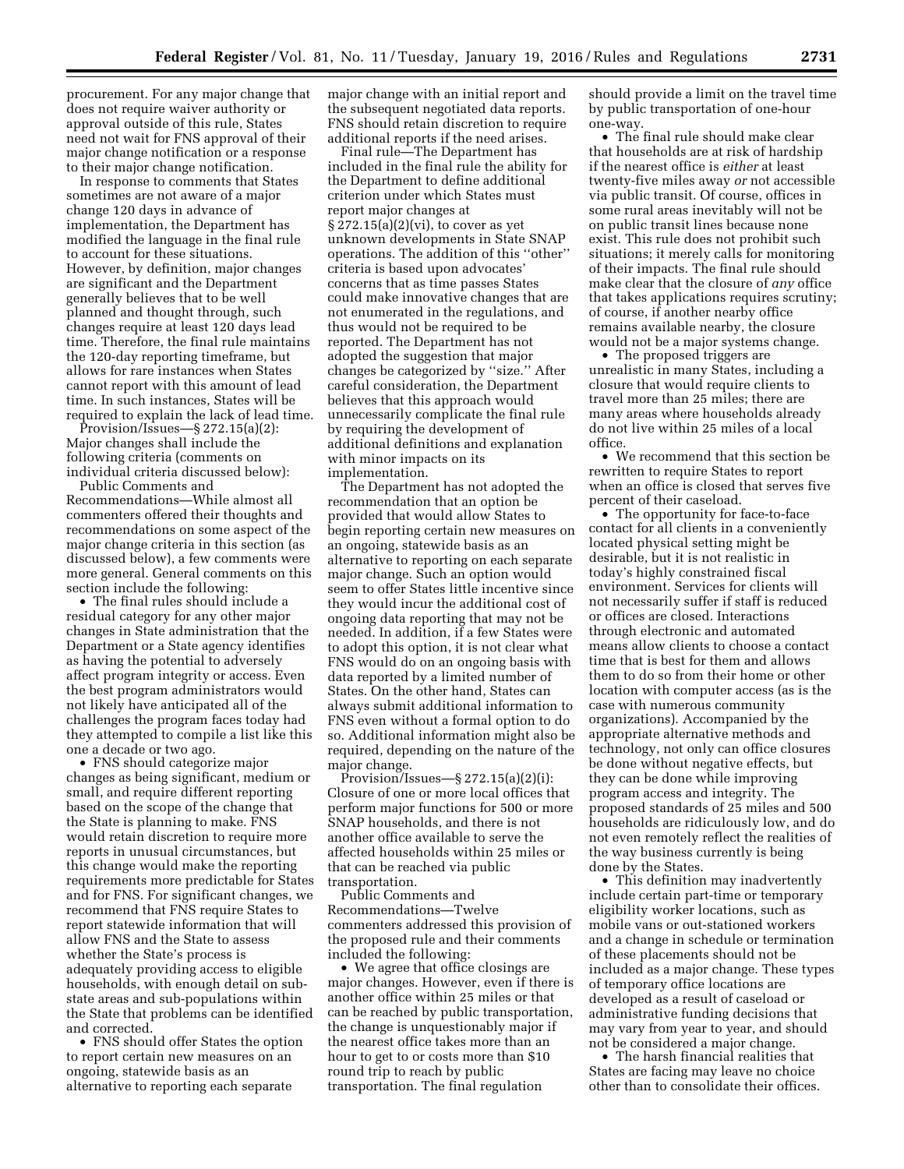procurement. For any major change that does not require waiver authority or approval outside of this rule, States need not wait for FNS approval of their major change notification or a response to their major change notification.

In response to comments that States sometimes are not aware of a major change 120 days in advance of implementation, the Department has modified the language in the final rule to account for these situations. However, by definition, major changes are significant and the Department generally believes that to be well planned and thought through, such changes require at least 120 days lead time. Therefore, the final rule maintains the 120-day reporting timeframe, but allows for rare instances when States cannot report with this amount of lead time. In such instances, States will be required to explain the lack of lead time.

Provision/Issues—§ 272.15(a)(2): Major changes shall include the following criteria (comments on individual criteria discussed below):

Public Comments and Recommendations—While almost all commenters offered their thoughts and recommendations on some aspect of the major change criteria in this section (as discussed below), a few comments were more general. General comments on this section include the following:

• The final rules should include a residual category for any other major changes in State administration that the Department or a State agency identifies as having the potential to adversely affect program integrity or access. Even the best program administrators would not likely have anticipated all of the challenges the program faces today had they attempted to compile a list like this one a decade or two ago.

• FNS should categorize major changes as being significant, medium or small, and require different reporting based on the scope of the change that the State is planning to make. FNS would retain discretion to require more reports in unusual circumstances, but this change would make the reporting requirements more predictable for States and for FNS. For significant changes, we recommend that FNS require States to report statewide information that will allow FNS and the State to assess whether the State's process is adequately providing access to eligible households, with enough detail on substate areas and sub-populations within the State that problems can be identified and corrected.

• FNS should offer States the option to report certain new measures on an ongoing, statewide basis as an alternative to reporting each separate

major change with an initial report and the subsequent negotiated data reports. FNS should retain discretion to require additional reports if the need arises.

Final rule—The Department has included in the final rule the ability for the Department to define additional criterion under which States must report major changes at  $\S 272.15(a)(2)(vi)$ , to cover as yet unknown developments in State SNAP operations. The addition of this ''other'' criteria is based upon advocates' concerns that as time passes States could make innovative changes that are not enumerated in the regulations, and thus would not be required to be reported. The Department has not adopted the suggestion that major changes be categorized by ''size.'' After careful consideration, the Department believes that this approach would unnecessarily complicate the final rule by requiring the development of additional definitions and explanation with minor impacts on its implementation.

The Department has not adopted the recommendation that an option be provided that would allow States to begin reporting certain new measures on an ongoing, statewide basis as an alternative to reporting on each separate major change. Such an option would seem to offer States little incentive since they would incur the additional cost of ongoing data reporting that may not be needed. In addition, if a few States were to adopt this option, it is not clear what FNS would do on an ongoing basis with data reported by a limited number of States. On the other hand, States can always submit additional information to FNS even without a formal option to do so. Additional information might also be required, depending on the nature of the major change.

 $Pivvision/Issues—§ 272.15(a)(2)(i):$ Closure of one or more local offices that perform major functions for 500 or more SNAP households, and there is not another office available to serve the affected households within 25 miles or that can be reached via public transportation.

Public Comments and Recommendations—Twelve commenters addressed this provision of the proposed rule and their comments included the following:

• We agree that office closings are major changes. However, even if there is another office within 25 miles or that can be reached by public transportation, the change is unquestionably major if the nearest office takes more than an hour to get to or costs more than \$10 round trip to reach by public transportation. The final regulation

should provide a limit on the travel time by public transportation of one-hour one-way.

• The final rule should make clear that households are at risk of hardship if the nearest office is *either* at least twenty-five miles away *or* not accessible via public transit. Of course, offices in some rural areas inevitably will not be on public transit lines because none exist. This rule does not prohibit such situations; it merely calls for monitoring of their impacts. The final rule should make clear that the closure of *any* office that takes applications requires scrutiny; of course, if another nearby office remains available nearby, the closure would not be a major systems change.

• The proposed triggers are unrealistic in many States, including a closure that would require clients to travel more than 25 miles; there are many areas where households already do not live within 25 miles of a local office.

• We recommend that this section be rewritten to require States to report when an office is closed that serves five percent of their caseload.

• The opportunity for face-to-face contact for all clients in a conveniently located physical setting might be desirable, but it is not realistic in today's highly constrained fiscal environment. Services for clients will not necessarily suffer if staff is reduced or offices are closed. Interactions through electronic and automated means allow clients to choose a contact time that is best for them and allows them to do so from their home or other location with computer access (as is the case with numerous community organizations). Accompanied by the appropriate alternative methods and technology, not only can office closures be done without negative effects, but they can be done while improving program access and integrity. The proposed standards of 25 miles and 500 households are ridiculously low, and do not even remotely reflect the realities of the way business currently is being done by the States.

• This definition may inadvertently include certain part-time or temporary eligibility worker locations, such as mobile vans or out-stationed workers and a change in schedule or termination of these placements should not be included as a major change. These types of temporary office locations are developed as a result of caseload or administrative funding decisions that may vary from year to year, and should not be considered a major change.

• The harsh financial realities that States are facing may leave no choice other than to consolidate their offices.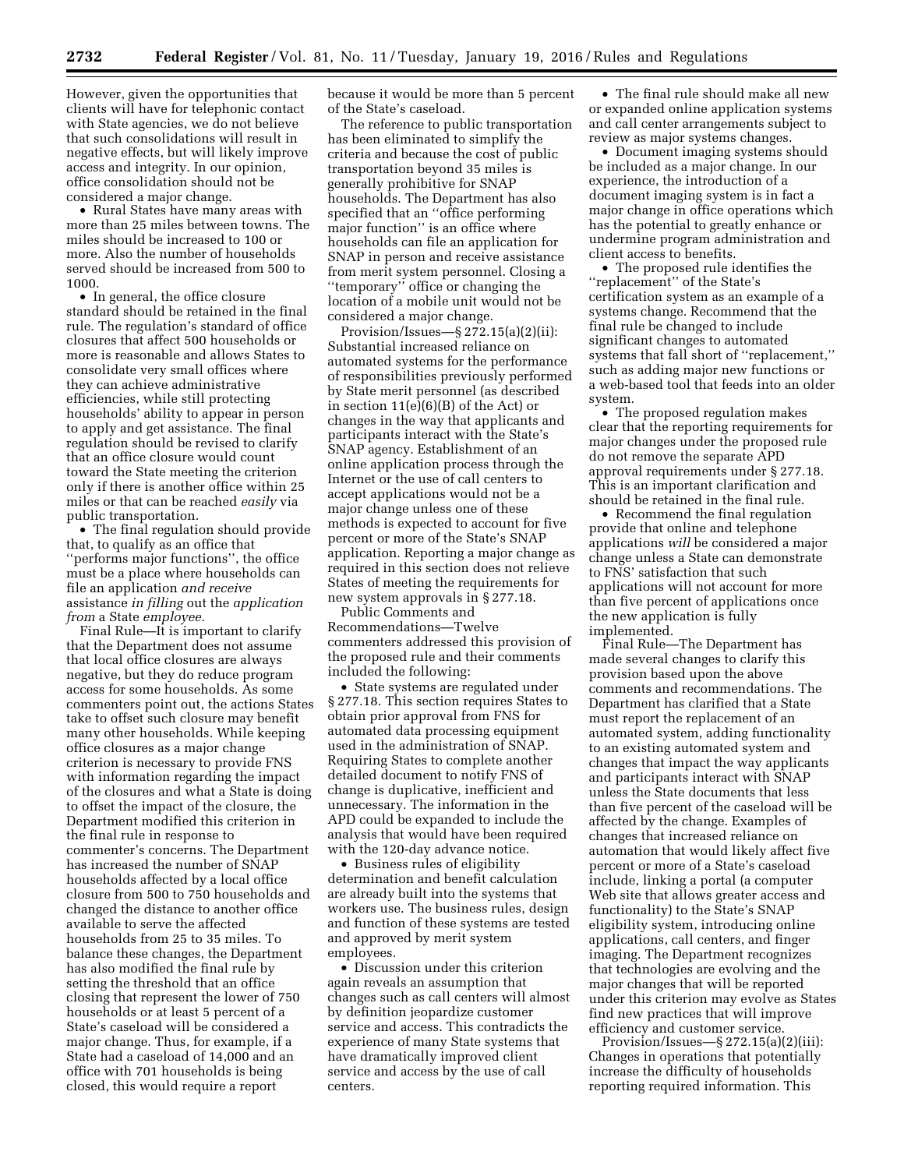However, given the opportunities that clients will have for telephonic contact with State agencies, we do not believe that such consolidations will result in negative effects, but will likely improve access and integrity. In our opinion, office consolidation should not be considered a major change.

• Rural States have many areas with more than 25 miles between towns. The miles should be increased to 100 or more. Also the number of households served should be increased from 500 to 1000.

• In general, the office closure standard should be retained in the final rule. The regulation's standard of office closures that affect 500 households or more is reasonable and allows States to consolidate very small offices where they can achieve administrative efficiencies, while still protecting households' ability to appear in person to apply and get assistance. The final regulation should be revised to clarify that an office closure would count toward the State meeting the criterion only if there is another office within 25 miles or that can be reached *easily* via public transportation.

• The final regulation should provide that, to qualify as an office that ''performs major functions'', the office must be a place where households can file an application *and receive*  assistance *in filling* out the *application from* a State *employee.* 

Final Rule—It is important to clarify that the Department does not assume that local office closures are always negative, but they do reduce program access for some households. As some commenters point out, the actions States take to offset such closure may benefit many other households. While keeping office closures as a major change criterion is necessary to provide FNS with information regarding the impact of the closures and what a State is doing to offset the impact of the closure, the Department modified this criterion in the final rule in response to commenter's concerns. The Department has increased the number of SNAP households affected by a local office closure from 500 to 750 households and changed the distance to another office available to serve the affected households from 25 to 35 miles. To balance these changes, the Department has also modified the final rule by setting the threshold that an office closing that represent the lower of 750 households or at least 5 percent of a State's caseload will be considered a major change. Thus, for example, if a State had a caseload of 14,000 and an office with 701 households is being closed, this would require a report

because it would be more than 5 percent of the State's caseload.

The reference to public transportation has been eliminated to simplify the criteria and because the cost of public transportation beyond 35 miles is generally prohibitive for SNAP households. The Department has also specified that an ''office performing major function'' is an office where households can file an application for SNAP in person and receive assistance from merit system personnel. Closing a ''temporary'' office or changing the location of a mobile unit would not be considered a major change.

Provision/Issues—§ 272.15(a)(2)(ii): Substantial increased reliance on automated systems for the performance of responsibilities previously performed by State merit personnel (as described in section  $11(e)(6)(B)$  of the Act) or changes in the way that applicants and participants interact with the State's SNAP agency. Establishment of an online application process through the Internet or the use of call centers to accept applications would not be a major change unless one of these methods is expected to account for five percent or more of the State's SNAP application. Reporting a major change as required in this section does not relieve States of meeting the requirements for new system approvals in § 277.18.

Public Comments and Recommendations—Twelve commenters addressed this provision of the proposed rule and their comments included the following:

• State systems are regulated under § 277.18. This section requires States to obtain prior approval from FNS for automated data processing equipment used in the administration of SNAP. Requiring States to complete another detailed document to notify FNS of change is duplicative, inefficient and unnecessary. The information in the APD could be expanded to include the analysis that would have been required with the 120-day advance notice.

• Business rules of eligibility determination and benefit calculation are already built into the systems that workers use. The business rules, design and function of these systems are tested and approved by merit system employees.

• Discussion under this criterion again reveals an assumption that changes such as call centers will almost by definition jeopardize customer service and access. This contradicts the experience of many State systems that have dramatically improved client service and access by the use of call centers.

• The final rule should make all new or expanded online application systems and call center arrangements subject to review as major systems changes.

• Document imaging systems should be included as a major change. In our experience, the introduction of a document imaging system is in fact a major change in office operations which has the potential to greatly enhance or undermine program administration and client access to benefits.

• The proposed rule identifies the ''replacement'' of the State's certification system as an example of a systems change. Recommend that the final rule be changed to include significant changes to automated systems that fall short of ''replacement,'' such as adding major new functions or a web-based tool that feeds into an older system.

• The proposed regulation makes clear that the reporting requirements for major changes under the proposed rule do not remove the separate APD approval requirements under § 277.18. This is an important clarification and should be retained in the final rule.

• Recommend the final regulation provide that online and telephone applications *will* be considered a major change unless a State can demonstrate to FNS' satisfaction that such applications will not account for more than five percent of applications once the new application is fully implemented.

Final Rule—The Department has made several changes to clarify this provision based upon the above comments and recommendations. The Department has clarified that a State must report the replacement of an automated system, adding functionality to an existing automated system and changes that impact the way applicants and participants interact with SNAP unless the State documents that less than five percent of the caseload will be affected by the change. Examples of changes that increased reliance on automation that would likely affect five percent or more of a State's caseload include, linking a portal (a computer Web site that allows greater access and functionality) to the State's SNAP eligibility system, introducing online applications, call centers, and finger imaging. The Department recognizes that technologies are evolving and the major changes that will be reported under this criterion may evolve as States find new practices that will improve efficiency and customer service.

Provision/Issues—§ 272.15(a)(2)(iii): Changes in operations that potentially increase the difficulty of households reporting required information. This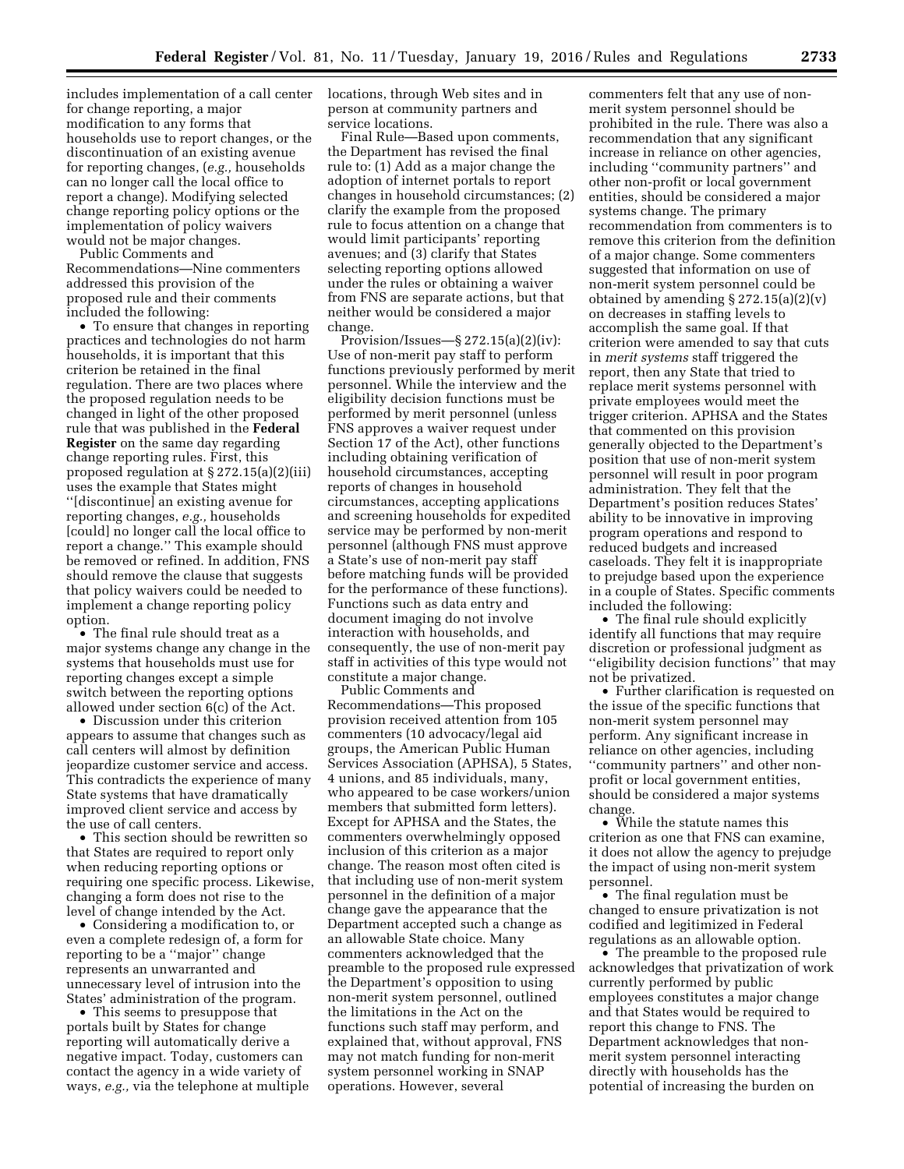includes implementation of a call center for change reporting, a major modification to any forms that households use to report changes, or the discontinuation of an existing avenue for reporting changes, (*e.g.,* households can no longer call the local office to report a change). Modifying selected change reporting policy options or the implementation of policy waivers would not be major changes.

Public Comments and Recommendations—Nine commenters addressed this provision of the proposed rule and their comments included the following:

• To ensure that changes in reporting practices and technologies do not harm households, it is important that this criterion be retained in the final regulation. There are two places where the proposed regulation needs to be changed in light of the other proposed rule that was published in the **Federal Register** on the same day regarding change reporting rules. First, this proposed regulation at § 272.15(a)(2)(iii) uses the example that States might ''[discontinue] an existing avenue for reporting changes, *e.g.,* households [could] no longer call the local office to report a change.'' This example should be removed or refined. In addition, FNS should remove the clause that suggests that policy waivers could be needed to implement a change reporting policy option.

• The final rule should treat as a major systems change any change in the systems that households must use for reporting changes except a simple switch between the reporting options allowed under section 6(c) of the Act.

• Discussion under this criterion appears to assume that changes such as call centers will almost by definition jeopardize customer service and access. This contradicts the experience of many State systems that have dramatically improved client service and access by the use of call centers.

• This section should be rewritten so that States are required to report only when reducing reporting options or requiring one specific process. Likewise, changing a form does not rise to the level of change intended by the Act.

• Considering a modification to, or even a complete redesign of, a form for reporting to be a ''major'' change represents an unwarranted and unnecessary level of intrusion into the States' administration of the program.

• This seems to presuppose that portals built by States for change reporting will automatically derive a negative impact. Today, customers can contact the agency in a wide variety of ways, *e.g.,* via the telephone at multiple locations, through Web sites and in person at community partners and service locations.

Final Rule—Based upon comments, the Department has revised the final rule to: (1) Add as a major change the adoption of internet portals to report changes in household circumstances; (2) clarify the example from the proposed rule to focus attention on a change that would limit participants' reporting avenues; and (3) clarify that States selecting reporting options allowed under the rules or obtaining a waiver from FNS are separate actions, but that neither would be considered a major change.

Provision/Issues—§  $272.15(a)(2)(iv)$ : Use of non-merit pay staff to perform functions previously performed by merit personnel. While the interview and the eligibility decision functions must be performed by merit personnel (unless FNS approves a waiver request under Section 17 of the Act), other functions including obtaining verification of household circumstances, accepting reports of changes in household circumstances, accepting applications and screening households for expedited service may be performed by non-merit personnel (although FNS must approve a State's use of non-merit pay staff before matching funds will be provided for the performance of these functions). Functions such as data entry and document imaging do not involve interaction with households, and consequently, the use of non-merit pay staff in activities of this type would not constitute a major change.

Public Comments and Recommendations—This proposed provision received attention from 105 commenters (10 advocacy/legal aid groups, the American Public Human Services Association (APHSA), 5 States, 4 unions, and 85 individuals, many, who appeared to be case workers/union members that submitted form letters). Except for APHSA and the States, the commenters overwhelmingly opposed inclusion of this criterion as a major change. The reason most often cited is that including use of non-merit system personnel in the definition of a major change gave the appearance that the Department accepted such a change as an allowable State choice. Many commenters acknowledged that the preamble to the proposed rule expressed the Department's opposition to using non-merit system personnel, outlined the limitations in the Act on the functions such staff may perform, and explained that, without approval, FNS may not match funding for non-merit system personnel working in SNAP operations. However, several

commenters felt that any use of nonmerit system personnel should be prohibited in the rule. There was also a recommendation that any significant increase in reliance on other agencies, including ''community partners'' and other non-profit or local government entities, should be considered a major systems change. The primary recommendation from commenters is to remove this criterion from the definition of a major change. Some commenters suggested that information on use of non-merit system personnel could be obtained by amending  $\S 272.15(a)(2)(v)$ on decreases in staffing levels to accomplish the same goal. If that criterion were amended to say that cuts in *merit systems* staff triggered the report, then any State that tried to replace merit systems personnel with private employees would meet the trigger criterion. APHSA and the States that commented on this provision generally objected to the Department's position that use of non-merit system personnel will result in poor program administration. They felt that the Department's position reduces States' ability to be innovative in improving program operations and respond to reduced budgets and increased caseloads. They felt it is inappropriate to prejudge based upon the experience in a couple of States. Specific comments included the following:

• The final rule should explicitly identify all functions that may require discretion or professional judgment as ''eligibility decision functions'' that may not be privatized.

• Further clarification is requested on the issue of the specific functions that non-merit system personnel may perform. Any significant increase in reliance on other agencies, including ''community partners'' and other nonprofit or local government entities, should be considered a major systems change.

• While the statute names this criterion as one that FNS can examine, it does not allow the agency to prejudge the impact of using non-merit system personnel.

• The final regulation must be changed to ensure privatization is not codified and legitimized in Federal regulations as an allowable option.

• The preamble to the proposed rule acknowledges that privatization of work currently performed by public employees constitutes a major change and that States would be required to report this change to FNS. The Department acknowledges that nonmerit system personnel interacting directly with households has the potential of increasing the burden on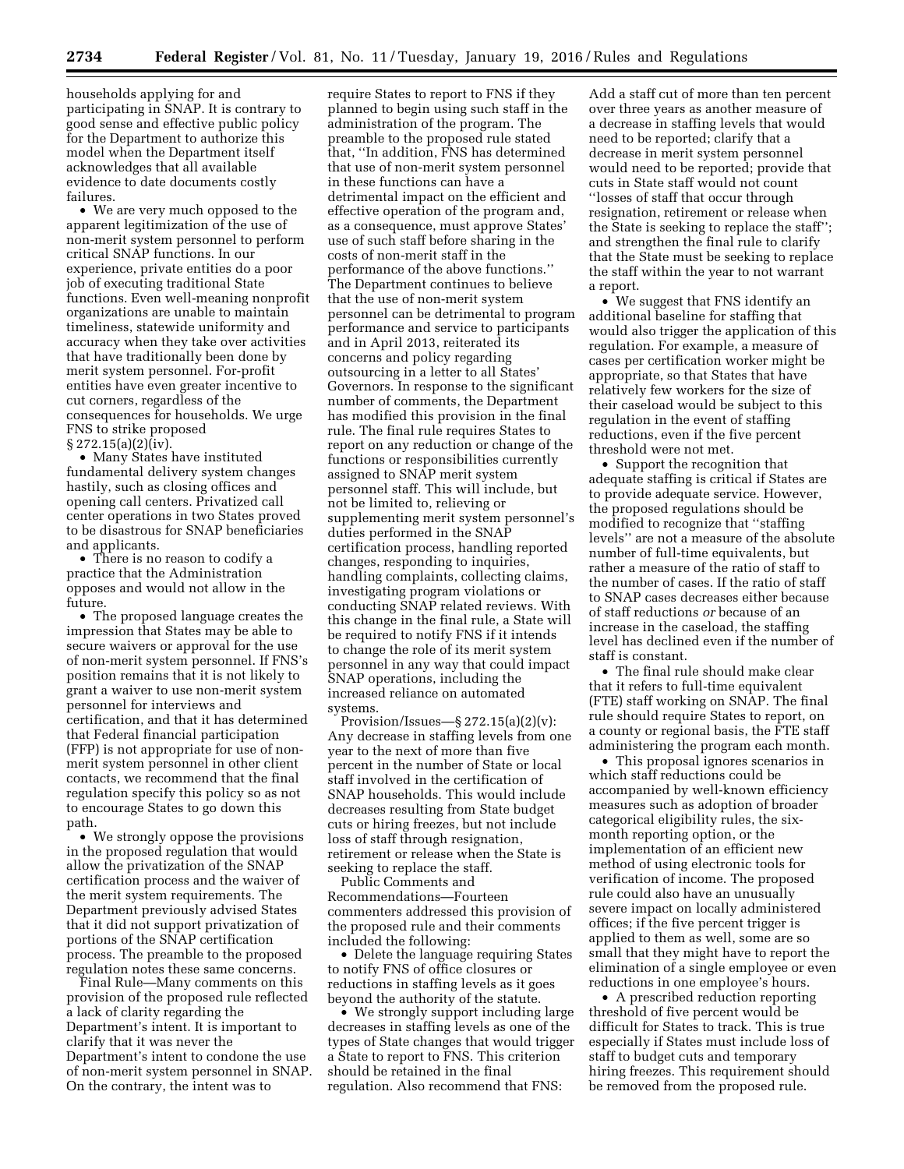households applying for and participating in SNAP. It is contrary to good sense and effective public policy for the Department to authorize this model when the Department itself acknowledges that all available evidence to date documents costly failures.

• We are very much opposed to the apparent legitimization of the use of non-merit system personnel to perform critical SNAP functions. In our experience, private entities do a poor job of executing traditional State functions. Even well-meaning nonprofit organizations are unable to maintain timeliness, statewide uniformity and accuracy when they take over activities that have traditionally been done by merit system personnel. For-profit entities have even greater incentive to cut corners, regardless of the consequences for households. We urge FNS to strike proposed  $\S 272.15(a)(2)(iv)$ .

• Many States have instituted fundamental delivery system changes hastily, such as closing offices and opening call centers. Privatized call center operations in two States proved to be disastrous for SNAP beneficiaries and applicants.

• There is no reason to codify a practice that the Administration opposes and would not allow in the future.

• The proposed language creates the impression that States may be able to secure waivers or approval for the use of non-merit system personnel. If FNS's position remains that it is not likely to grant a waiver to use non-merit system personnel for interviews and certification, and that it has determined that Federal financial participation (FFP) is not appropriate for use of nonmerit system personnel in other client contacts, we recommend that the final regulation specify this policy so as not to encourage States to go down this path.

• We strongly oppose the provisions in the proposed regulation that would allow the privatization of the SNAP certification process and the waiver of the merit system requirements. The Department previously advised States that it did not support privatization of portions of the SNAP certification process. The preamble to the proposed regulation notes these same concerns.

Final Rule—Many comments on this provision of the proposed rule reflected a lack of clarity regarding the Department's intent. It is important to clarify that it was never the Department's intent to condone the use of non-merit system personnel in SNAP. On the contrary, the intent was to

require States to report to FNS if they planned to begin using such staff in the administration of the program. The preamble to the proposed rule stated that, ''In addition, FNS has determined that use of non-merit system personnel in these functions can have a detrimental impact on the efficient and effective operation of the program and, as a consequence, must approve States' use of such staff before sharing in the costs of non-merit staff in the performance of the above functions.'' The Department continues to believe that the use of non-merit system personnel can be detrimental to program performance and service to participants and in April 2013, reiterated its concerns and policy regarding outsourcing in a letter to all States' Governors. In response to the significant number of comments, the Department has modified this provision in the final rule. The final rule requires States to report on any reduction or change of the functions or responsibilities currently assigned to SNAP merit system personnel staff. This will include, but not be limited to, relieving or supplementing merit system personnel's duties performed in the SNAP certification process, handling reported changes, responding to inquiries, handling complaints, collecting claims, investigating program violations or conducting SNAP related reviews. With this change in the final rule, a State will be required to notify FNS if it intends to change the role of its merit system personnel in any way that could impact SNAP operations, including the increased reliance on automated systems.

Provision/Issues—§  $272.15(a)(2)(v)$ : Any decrease in staffing levels from one year to the next of more than five percent in the number of State or local staff involved in the certification of SNAP households. This would include decreases resulting from State budget cuts or hiring freezes, but not include loss of staff through resignation, retirement or release when the State is seeking to replace the staff.

Public Comments and Recommendations—Fourteen commenters addressed this provision of the proposed rule and their comments included the following:

• Delete the language requiring States to notify FNS of office closures or reductions in staffing levels as it goes beyond the authority of the statute.

• We strongly support including large decreases in staffing levels as one of the types of State changes that would trigger a State to report to FNS. This criterion should be retained in the final regulation. Also recommend that FNS:

Add a staff cut of more than ten percent over three years as another measure of a decrease in staffing levels that would need to be reported; clarify that a decrease in merit system personnel would need to be reported; provide that cuts in State staff would not count ''losses of staff that occur through resignation, retirement or release when the State is seeking to replace the staff''; and strengthen the final rule to clarify that the State must be seeking to replace the staff within the year to not warrant a report.

• We suggest that FNS identify an additional baseline for staffing that would also trigger the application of this regulation. For example, a measure of cases per certification worker might be appropriate, so that States that have relatively few workers for the size of their caseload would be subject to this regulation in the event of staffing reductions, even if the five percent threshold were not met.

• Support the recognition that adequate staffing is critical if States are to provide adequate service. However, the proposed regulations should be modified to recognize that ''staffing levels'' are not a measure of the absolute number of full-time equivalents, but rather a measure of the ratio of staff to the number of cases. If the ratio of staff to SNAP cases decreases either because of staff reductions *or* because of an increase in the caseload, the staffing level has declined even if the number of staff is constant.

• The final rule should make clear that it refers to full-time equivalent (FTE) staff working on SNAP. The final rule should require States to report, on a county or regional basis, the FTE staff administering the program each month.

• This proposal ignores scenarios in which staff reductions could be accompanied by well-known efficiency measures such as adoption of broader categorical eligibility rules, the sixmonth reporting option, or the implementation of an efficient new method of using electronic tools for verification of income. The proposed rule could also have an unusually severe impact on locally administered offices; if the five percent trigger is applied to them as well, some are so small that they might have to report the elimination of a single employee or even reductions in one employee's hours.

• A prescribed reduction reporting threshold of five percent would be difficult for States to track. This is true especially if States must include loss of staff to budget cuts and temporary hiring freezes. This requirement should be removed from the proposed rule.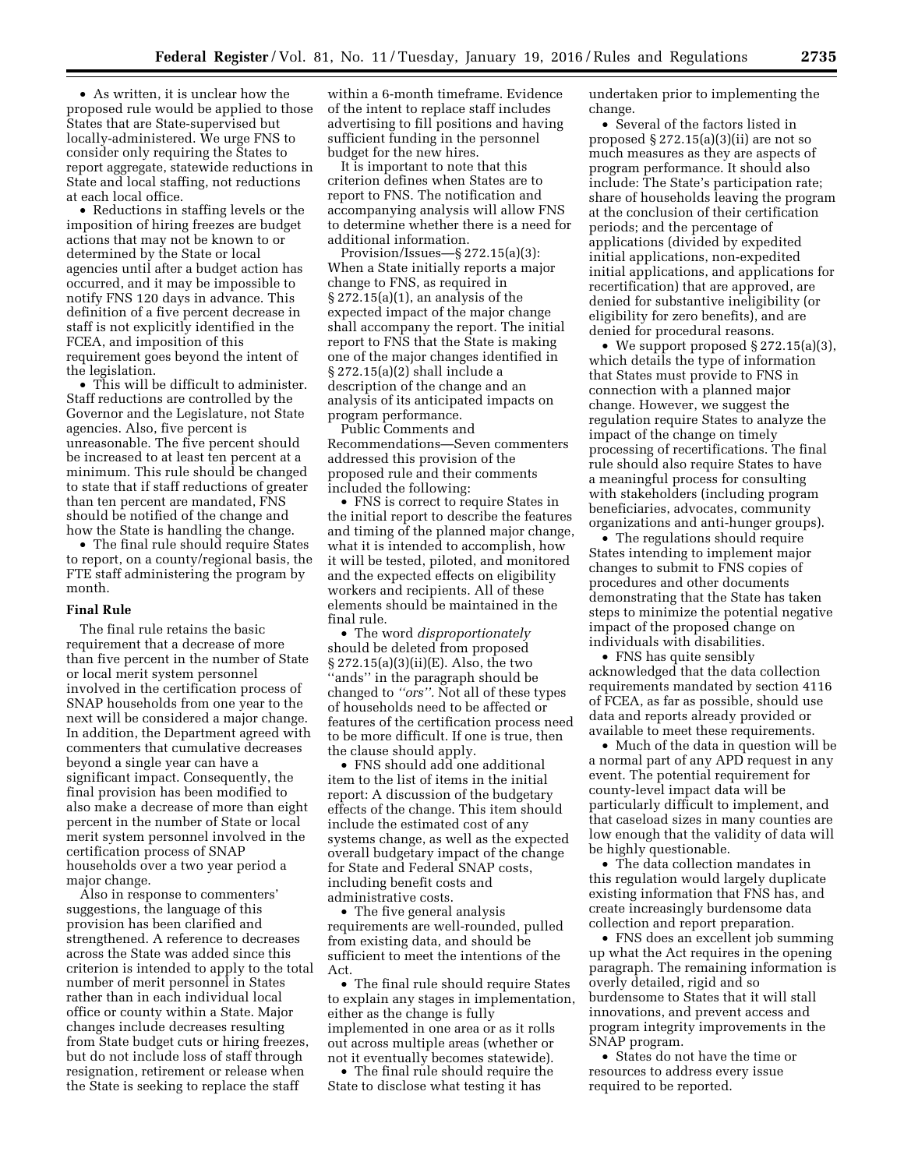• As written, it is unclear how the proposed rule would be applied to those States that are State-supervised but locally-administered. We urge FNS to consider only requiring the States to report aggregate, statewide reductions in State and local staffing, not reductions at each local office.

• Reductions in staffing levels or the imposition of hiring freezes are budget actions that may not be known to or determined by the State or local agencies until after a budget action has occurred, and it may be impossible to notify FNS 120 days in advance. This definition of a five percent decrease in staff is not explicitly identified in the FCEA, and imposition of this requirement goes beyond the intent of the legislation.

• This will be difficult to administer. Staff reductions are controlled by the Governor and the Legislature, not State agencies. Also, five percent is unreasonable. The five percent should be increased to at least ten percent at a minimum. This rule should be changed to state that if staff reductions of greater than ten percent are mandated, FNS should be notified of the change and how the State is handling the change.

• The final rule should require States to report, on a county/regional basis, the FTE staff administering the program by month.

## **Final Rule**

The final rule retains the basic requirement that a decrease of more than five percent in the number of State or local merit system personnel involved in the certification process of SNAP households from one year to the next will be considered a major change. In addition, the Department agreed with commenters that cumulative decreases beyond a single year can have a significant impact. Consequently, the final provision has been modified to also make a decrease of more than eight percent in the number of State or local merit system personnel involved in the certification process of SNAP households over a two year period a major change.

Also in response to commenters' suggestions, the language of this provision has been clarified and strengthened. A reference to decreases across the State was added since this criterion is intended to apply to the total number of merit personnel in States rather than in each individual local office or county within a State. Major changes include decreases resulting from State budget cuts or hiring freezes, but do not include loss of staff through resignation, retirement or release when the State is seeking to replace the staff

within a 6-month timeframe. Evidence of the intent to replace staff includes advertising to fill positions and having sufficient funding in the personnel budget for the new hires.

It is important to note that this criterion defines when States are to report to FNS. The notification and accompanying analysis will allow FNS to determine whether there is a need for additional information.

Provision/Issues—§ 272.15(a)(3): When a State initially reports a major change to FNS, as required in § 272.15(a)(1), an analysis of the expected impact of the major change shall accompany the report. The initial report to FNS that the State is making one of the major changes identified in § 272.15(a)(2) shall include a description of the change and an analysis of its anticipated impacts on program performance.

Public Comments and Recommendations—Seven commenters addressed this provision of the proposed rule and their comments included the following:

• FNS is correct to require States in the initial report to describe the features and timing of the planned major change, what it is intended to accomplish, how it will be tested, piloted, and monitored and the expected effects on eligibility workers and recipients. All of these elements should be maintained in the final rule.

• The word *disproportionately*  should be deleted from proposed § 272.15(a)(3)(ii)(E). Also, the two ''ands'' in the paragraph should be changed to *''ors''.* Not all of these types of households need to be affected or features of the certification process need to be more difficult. If one is true, then the clause should apply.

• FNS should add one additional item to the list of items in the initial report: A discussion of the budgetary effects of the change. This item should include the estimated cost of any systems change, as well as the expected overall budgetary impact of the change for State and Federal SNAP costs, including benefit costs and administrative costs.

• The five general analysis requirements are well-rounded, pulled from existing data, and should be sufficient to meet the intentions of the Act.

• The final rule should require States to explain any stages in implementation, either as the change is fully implemented in one area or as it rolls out across multiple areas (whether or not it eventually becomes statewide).

• The final rule should require the State to disclose what testing it has

undertaken prior to implementing the change.

• Several of the factors listed in proposed § 272.15(a)(3)(ii) are not so much measures as they are aspects of program performance. It should also include: The State's participation rate; share of households leaving the program at the conclusion of their certification periods; and the percentage of applications (divided by expedited initial applications, non-expedited initial applications, and applications for recertification) that are approved, are denied for substantive ineligibility (or eligibility for zero benefits), and are denied for procedural reasons.

• We support proposed § 272.15(a)(3), which details the type of information that States must provide to FNS in connection with a planned major change. However, we suggest the regulation require States to analyze the impact of the change on timely processing of recertifications. The final rule should also require States to have a meaningful process for consulting with stakeholders (including program beneficiaries, advocates, community organizations and anti-hunger groups).

• The regulations should require States intending to implement major changes to submit to FNS copies of procedures and other documents demonstrating that the State has taken steps to minimize the potential negative impact of the proposed change on individuals with disabilities.

• FNS has quite sensibly acknowledged that the data collection requirements mandated by section 4116 of FCEA, as far as possible, should use data and reports already provided or available to meet these requirements.

• Much of the data in question will be a normal part of any APD request in any event. The potential requirement for county-level impact data will be particularly difficult to implement, and that caseload sizes in many counties are low enough that the validity of data will be highly questionable.

• The data collection mandates in this regulation would largely duplicate existing information that FNS has, and create increasingly burdensome data collection and report preparation.

• FNS does an excellent job summing up what the Act requires in the opening paragraph. The remaining information is overly detailed, rigid and so burdensome to States that it will stall innovations, and prevent access and program integrity improvements in the SNAP program.

• States do not have the time or resources to address every issue required to be reported.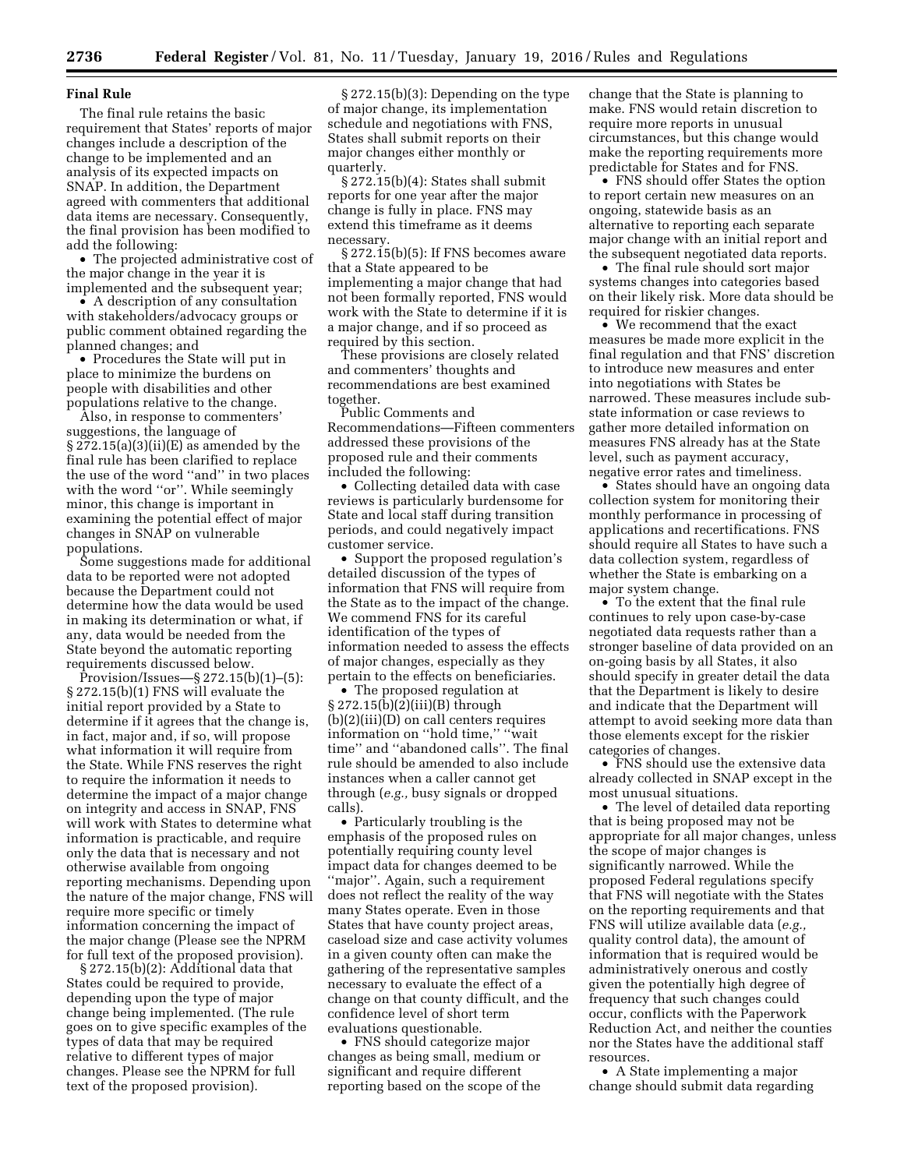#### **Final Rule**

The final rule retains the basic requirement that States' reports of major changes include a description of the change to be implemented and an analysis of its expected impacts on SNAP. In addition, the Department agreed with commenters that additional data items are necessary. Consequently, the final provision has been modified to add the following:

• The projected administrative cost of the major change in the year it is implemented and the subsequent year;

• A description of any consultation with stakeholders/advocacy groups or public comment obtained regarding the planned changes; and

• Procedures the State will put in place to minimize the burdens on people with disabilities and other populations relative to the change.

Also, in response to commenters' suggestions, the language of § 272.15(a)(3)(ii)(E) as amended by the final rule has been clarified to replace the use of the word ''and'' in two places with the word "or". While seemingly minor, this change is important in examining the potential effect of major changes in SNAP on vulnerable populations.

Some suggestions made for additional data to be reported were not adopted because the Department could not determine how the data would be used in making its determination or what, if any, data would be needed from the State beyond the automatic reporting requirements discussed below.

Provision/Issues—§ 272.15(b)(1)–(5): § 272.15(b)(1) FNS will evaluate the initial report provided by a State to determine if it agrees that the change is, in fact, major and, if so, will propose what information it will require from the State. While FNS reserves the right to require the information it needs to determine the impact of a major change on integrity and access in SNAP, FNS will work with States to determine what information is practicable, and require only the data that is necessary and not otherwise available from ongoing reporting mechanisms. Depending upon the nature of the major change, FNS will require more specific or timely information concerning the impact of the major change (Please see the NPRM for full text of the proposed provision).

§ 272.15(b)(2): Additional data that States could be required to provide, depending upon the type of major change being implemented. (The rule goes on to give specific examples of the types of data that may be required relative to different types of major changes. Please see the NPRM for full text of the proposed provision).

§ 272.15(b)(3): Depending on the type of major change, its implementation schedule and negotiations with FNS, States shall submit reports on their major changes either monthly or quarterly.

§ 272.15(b)(4): States shall submit reports for one year after the major change is fully in place. FNS may extend this timeframe as it deems necessary.

§ 272.15(b)(5): If FNS becomes aware that a State appeared to be implementing a major change that had not been formally reported, FNS would work with the State to determine if it is a major change, and if so proceed as required by this section.

These provisions are closely related and commenters' thoughts and recommendations are best examined together.

Public Comments and Recommendations—Fifteen commenters addressed these provisions of the proposed rule and their comments included the following:

• Collecting detailed data with case reviews is particularly burdensome for State and local staff during transition periods, and could negatively impact customer service.

• Support the proposed regulation's detailed discussion of the types of information that FNS will require from the State as to the impact of the change. We commend FNS for its careful identification of the types of information needed to assess the effects of major changes, especially as they pertain to the effects on beneficiaries.

• The proposed regulation at  $\S 272.15(b)(2)(iii)(B)$  through (b)(2)(iii)(D) on call centers requires information on ''hold time,'' ''wait time'' and ''abandoned calls''. The final rule should be amended to also include instances when a caller cannot get through (*e.g.,* busy signals or dropped calls).

• Particularly troubling is the emphasis of the proposed rules on potentially requiring county level impact data for changes deemed to be ''major''. Again, such a requirement does not reflect the reality of the way many States operate. Even in those States that have county project areas, caseload size and case activity volumes in a given county often can make the gathering of the representative samples necessary to evaluate the effect of a change on that county difficult, and the confidence level of short term evaluations questionable.

• FNS should categorize major changes as being small, medium or significant and require different reporting based on the scope of the

change that the State is planning to make. FNS would retain discretion to require more reports in unusual circumstances, but this change would make the reporting requirements more predictable for States and for FNS.

• FNS should offer States the option to report certain new measures on an ongoing, statewide basis as an alternative to reporting each separate major change with an initial report and the subsequent negotiated data reports.

• The final rule should sort major systems changes into categories based on their likely risk. More data should be required for riskier changes.

• We recommend that the exact measures be made more explicit in the final regulation and that FNS' discretion to introduce new measures and enter into negotiations with States be narrowed. These measures include substate information or case reviews to gather more detailed information on measures FNS already has at the State level, such as payment accuracy, negative error rates and timeliness.

• States should have an ongoing data collection system for monitoring their monthly performance in processing of applications and recertifications. FNS should require all States to have such a data collection system, regardless of whether the State is embarking on a major system change.

• To the extent that the final rule continues to rely upon case-by-case negotiated data requests rather than a stronger baseline of data provided on an on-going basis by all States, it also should specify in greater detail the data that the Department is likely to desire and indicate that the Department will attempt to avoid seeking more data than those elements except for the riskier categories of changes.

• FNS should use the extensive data already collected in SNAP except in the most unusual situations.

• The level of detailed data reporting that is being proposed may not be appropriate for all major changes, unless the scope of major changes is significantly narrowed. While the proposed Federal regulations specify that FNS will negotiate with the States on the reporting requirements and that FNS will utilize available data (*e.g.,*  quality control data), the amount of information that is required would be administratively onerous and costly given the potentially high degree of frequency that such changes could occur, conflicts with the Paperwork Reduction Act, and neither the counties nor the States have the additional staff resources.

• A State implementing a major change should submit data regarding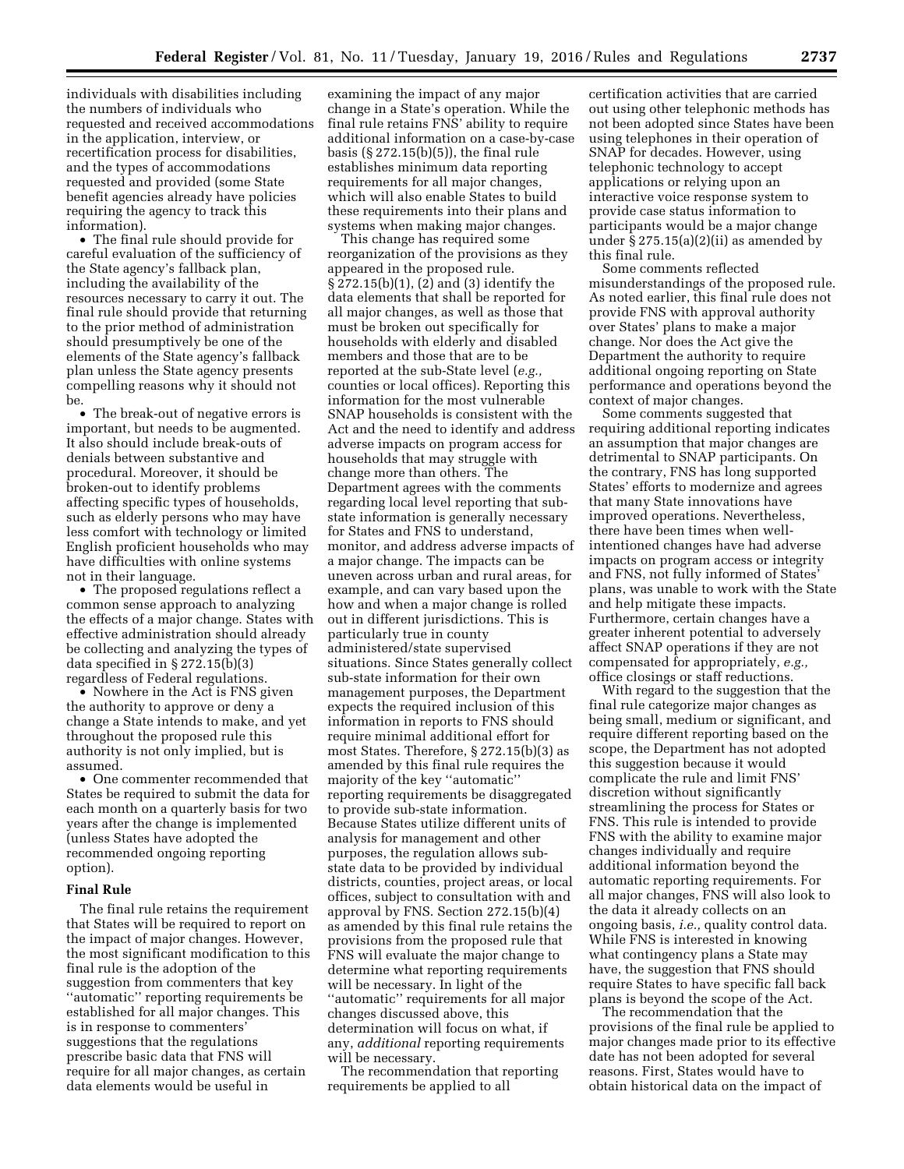individuals with disabilities including the numbers of individuals who requested and received accommodations in the application, interview, or recertification process for disabilities, and the types of accommodations requested and provided (some State benefit agencies already have policies requiring the agency to track this information).

• The final rule should provide for careful evaluation of the sufficiency of the State agency's fallback plan, including the availability of the resources necessary to carry it out. The final rule should provide that returning to the prior method of administration should presumptively be one of the elements of the State agency's fallback plan unless the State agency presents compelling reasons why it should not be.

• The break-out of negative errors is important, but needs to be augmented. It also should include break-outs of denials between substantive and procedural. Moreover, it should be broken-out to identify problems affecting specific types of households, such as elderly persons who may have less comfort with technology or limited English proficient households who may have difficulties with online systems not in their language.

• The proposed regulations reflect a common sense approach to analyzing the effects of a major change. States with effective administration should already be collecting and analyzing the types of data specified in § 272.15(b)(3) regardless of Federal regulations.

• Nowhere in the Act is FNS given the authority to approve or deny a change a State intends to make, and yet throughout the proposed rule this authority is not only implied, but is assumed.

• One commenter recommended that States be required to submit the data for each month on a quarterly basis for two years after the change is implemented (unless States have adopted the recommended ongoing reporting option).

## **Final Rule**

The final rule retains the requirement that States will be required to report on the impact of major changes. However, the most significant modification to this final rule is the adoption of the suggestion from commenters that key ''automatic'' reporting requirements be established for all major changes. This is in response to commenters' suggestions that the regulations prescribe basic data that FNS will require for all major changes, as certain data elements would be useful in

examining the impact of any major change in a State's operation. While the final rule retains FNS' ability to require additional information on a case-by-case basis (§ 272.15(b)(5)), the final rule establishes minimum data reporting requirements for all major changes, which will also enable States to build these requirements into their plans and systems when making major changes.

This change has required some reorganization of the provisions as they appeared in the proposed rule. § 272.15(b)(1), (2) and (3) identify the data elements that shall be reported for all major changes, as well as those that must be broken out specifically for households with elderly and disabled members and those that are to be reported at the sub-State level (*e.g.,*  counties or local offices). Reporting this information for the most vulnerable SNAP households is consistent with the Act and the need to identify and address adverse impacts on program access for households that may struggle with change more than others. The Department agrees with the comments regarding local level reporting that substate information is generally necessary for States and FNS to understand, monitor, and address adverse impacts of a major change. The impacts can be uneven across urban and rural areas, for example, and can vary based upon the how and when a major change is rolled out in different jurisdictions. This is particularly true in county administered/state supervised situations. Since States generally collect sub-state information for their own management purposes, the Department expects the required inclusion of this information in reports to FNS should require minimal additional effort for most States. Therefore, § 272.15(b)(3) as amended by this final rule requires the majority of the key ''automatic'' reporting requirements be disaggregated to provide sub-state information. Because States utilize different units of analysis for management and other purposes, the regulation allows substate data to be provided by individual districts, counties, project areas, or local offices, subject to consultation with and approval by FNS. Section 272.15(b)(4) as amended by this final rule retains the provisions from the proposed rule that FNS will evaluate the major change to determine what reporting requirements will be necessary. In light of the ''automatic'' requirements for all major changes discussed above, this determination will focus on what, if any, *additional* reporting requirements will be necessary.

The recommendation that reporting requirements be applied to all

certification activities that are carried out using other telephonic methods has not been adopted since States have been using telephones in their operation of SNAP for decades. However, using telephonic technology to accept applications or relying upon an interactive voice response system to provide case status information to participants would be a major change under  $\S 275.15(a)(2)(ii)$  as amended by this final rule.

Some comments reflected misunderstandings of the proposed rule. As noted earlier, this final rule does not provide FNS with approval authority over States' plans to make a major change. Nor does the Act give the Department the authority to require additional ongoing reporting on State performance and operations beyond the context of major changes.

Some comments suggested that requiring additional reporting indicates an assumption that major changes are detrimental to SNAP participants. On the contrary, FNS has long supported States' efforts to modernize and agrees that many State innovations have improved operations. Nevertheless, there have been times when wellintentioned changes have had adverse impacts on program access or integrity and FNS, not fully informed of States' plans, was unable to work with the State and help mitigate these impacts. Furthermore, certain changes have a greater inherent potential to adversely affect SNAP operations if they are not compensated for appropriately, *e.g.,*  office closings or staff reductions.

With regard to the suggestion that the final rule categorize major changes as being small, medium or significant, and require different reporting based on the scope, the Department has not adopted this suggestion because it would complicate the rule and limit FNS' discretion without significantly streamlining the process for States or FNS. This rule is intended to provide FNS with the ability to examine major changes individually and require additional information beyond the automatic reporting requirements. For all major changes, FNS will also look to the data it already collects on an ongoing basis, *i.e.,* quality control data. While FNS is interested in knowing what contingency plans a State may have, the suggestion that FNS should require States to have specific fall back plans is beyond the scope of the Act.

The recommendation that the provisions of the final rule be applied to major changes made prior to its effective date has not been adopted for several reasons. First, States would have to obtain historical data on the impact of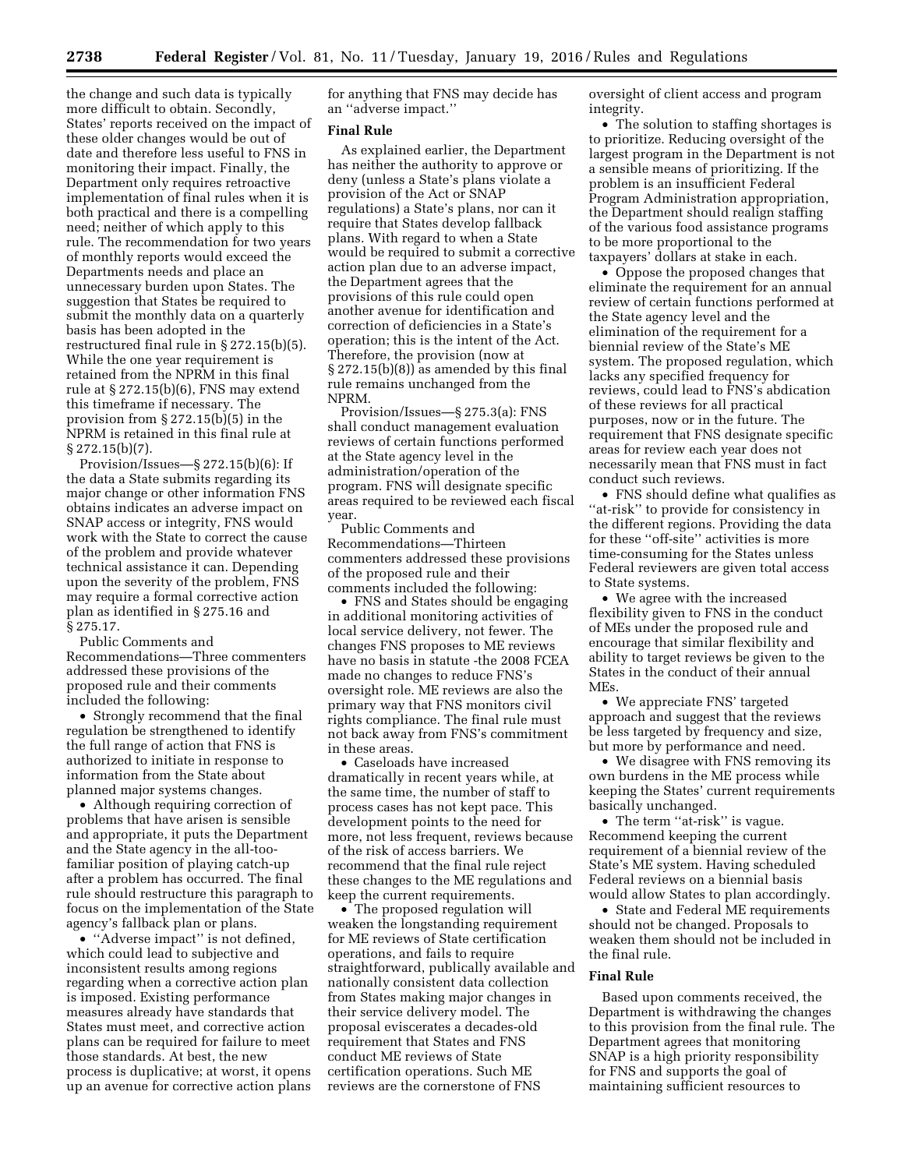the change and such data is typically more difficult to obtain. Secondly, States' reports received on the impact of these older changes would be out of date and therefore less useful to FNS in monitoring their impact. Finally, the Department only requires retroactive implementation of final rules when it is both practical and there is a compelling need; neither of which apply to this rule. The recommendation for two years of monthly reports would exceed the Departments needs and place an unnecessary burden upon States. The suggestion that States be required to submit the monthly data on a quarterly basis has been adopted in the restructured final rule in § 272.15(b)(5). While the one year requirement is retained from the NPRM in this final rule at § 272.15(b)(6), FNS may extend this timeframe if necessary. The provision from § 272.15(b)(5) in the NPRM is retained in this final rule at § 272.15(b)(7).

Provision/Issues—§ 272.15(b)(6): If the data a State submits regarding its major change or other information FNS obtains indicates an adverse impact on SNAP access or integrity, FNS would work with the State to correct the cause of the problem and provide whatever technical assistance it can. Depending upon the severity of the problem, FNS may require a formal corrective action plan as identified in § 275.16 and § 275.17.

Public Comments and Recommendations—Three commenters addressed these provisions of the proposed rule and their comments included the following:

• Strongly recommend that the final regulation be strengthened to identify the full range of action that FNS is authorized to initiate in response to information from the State about planned major systems changes.

• Although requiring correction of problems that have arisen is sensible and appropriate, it puts the Department and the State agency in the all-toofamiliar position of playing catch-up after a problem has occurred. The final rule should restructure this paragraph to focus on the implementation of the State agency's fallback plan or plans.

• "Adverse impact" is not defined, which could lead to subjective and inconsistent results among regions regarding when a corrective action plan is imposed. Existing performance measures already have standards that States must meet, and corrective action plans can be required for failure to meet those standards. At best, the new process is duplicative; at worst, it opens up an avenue for corrective action plans

for anything that FNS may decide has an ''adverse impact.''

#### **Final Rule**

As explained earlier, the Department has neither the authority to approve or deny (unless a State's plans violate a provision of the Act or SNAP regulations) a State's plans, nor can it require that States develop fallback plans. With regard to when a State would be required to submit a corrective action plan due to an adverse impact, the Department agrees that the provisions of this rule could open another avenue for identification and correction of deficiencies in a State's operation; this is the intent of the Act. Therefore, the provision (now at  $\S 272.15(b)(8)$  as amended by this final rule remains unchanged from the NPRM.

Provision/Issues—§ 275.3(a): FNS shall conduct management evaluation reviews of certain functions performed at the State agency level in the administration/operation of the program. FNS will designate specific areas required to be reviewed each fiscal year.

Public Comments and Recommendations—Thirteen commenters addressed these provisions of the proposed rule and their comments included the following:

• FNS and States should be engaging in additional monitoring activities of local service delivery, not fewer. The changes FNS proposes to ME reviews have no basis in statute -the 2008 FCEA made no changes to reduce FNS's oversight role. ME reviews are also the primary way that FNS monitors civil rights compliance. The final rule must not back away from FNS's commitment in these areas.

• Caseloads have increased dramatically in recent years while, at the same time, the number of staff to process cases has not kept pace. This development points to the need for more, not less frequent, reviews because of the risk of access barriers. We recommend that the final rule reject these changes to the ME regulations and keep the current requirements.

• The proposed regulation will weaken the longstanding requirement for ME reviews of State certification operations, and fails to require straightforward, publically available and nationally consistent data collection from States making major changes in their service delivery model. The proposal eviscerates a decades-old requirement that States and FNS conduct ME reviews of State certification operations. Such ME reviews are the cornerstone of FNS

oversight of client access and program integrity.

• The solution to staffing shortages is to prioritize. Reducing oversight of the largest program in the Department is not a sensible means of prioritizing. If the problem is an insufficient Federal Program Administration appropriation, the Department should realign staffing of the various food assistance programs to be more proportional to the taxpayers' dollars at stake in each.

• Oppose the proposed changes that eliminate the requirement for an annual review of certain functions performed at the State agency level and the elimination of the requirement for a biennial review of the State's ME system. The proposed regulation, which lacks any specified frequency for reviews, could lead to FNS's abdication of these reviews for all practical purposes, now or in the future. The requirement that FNS designate specific areas for review each year does not necessarily mean that FNS must in fact conduct such reviews.

• FNS should define what qualifies as ''at-risk'' to provide for consistency in the different regions. Providing the data for these ''off-site'' activities is more time-consuming for the States unless Federal reviewers are given total access to State systems.

• We agree with the increased flexibility given to FNS in the conduct of MEs under the proposed rule and encourage that similar flexibility and ability to target reviews be given to the States in the conduct of their annual MEs.

• We appreciate FNS' targeted approach and suggest that the reviews be less targeted by frequency and size, but more by performance and need.

• We disagree with FNS removing its own burdens in the ME process while keeping the States' current requirements basically unchanged.

• The term "at-risk" is vague. Recommend keeping the current requirement of a biennial review of the State's ME system. Having scheduled Federal reviews on a biennial basis would allow States to plan accordingly.

• State and Federal ME requirements should not be changed. Proposals to weaken them should not be included in the final rule.

## **Final Rule**

Based upon comments received, the Department is withdrawing the changes to this provision from the final rule. The Department agrees that monitoring SNAP is a high priority responsibility for FNS and supports the goal of maintaining sufficient resources to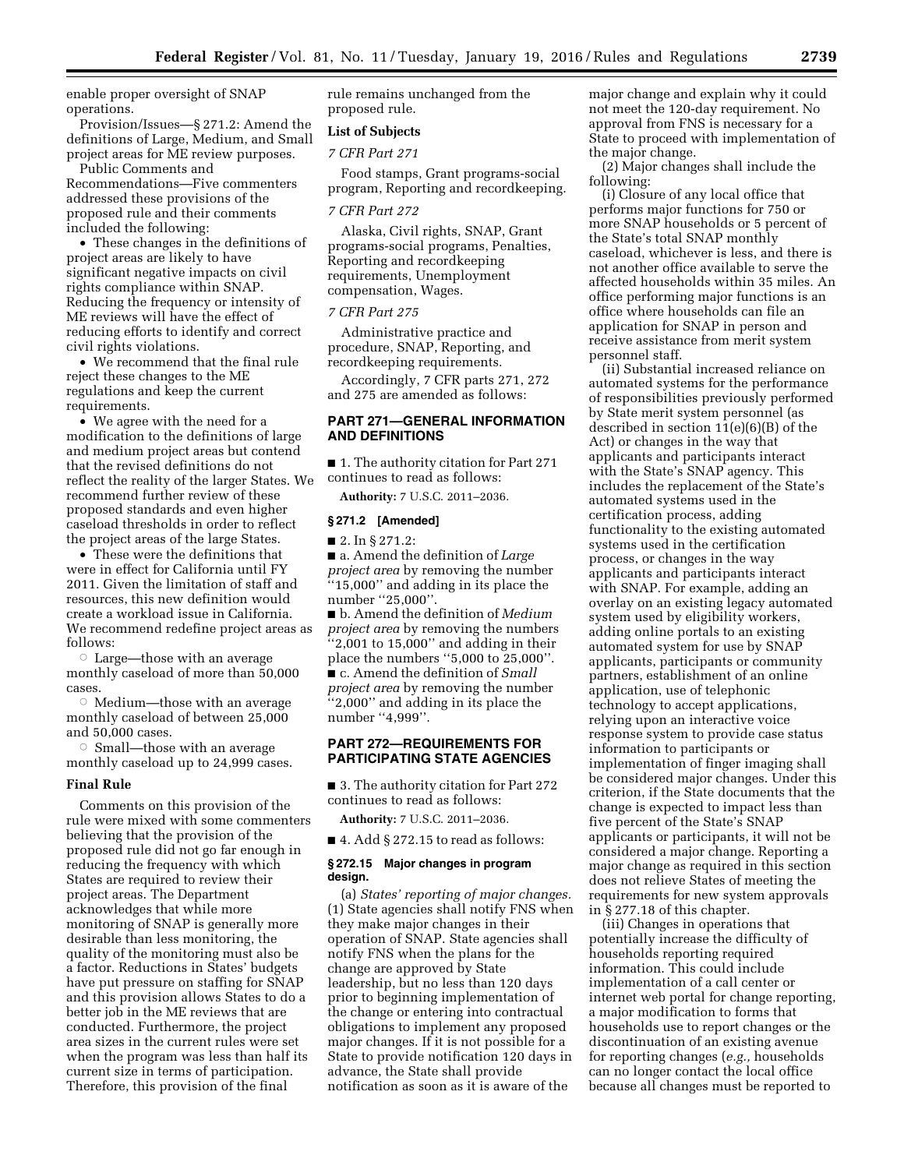enable proper oversight of SNAP operations.

Provision/Issues—§ 271.2: Amend the definitions of Large, Medium, and Small project areas for ME review purposes.

Public Comments and Recommendations—Five commenters addressed these provisions of the proposed rule and their comments included the following:

• These changes in the definitions of project areas are likely to have significant negative impacts on civil rights compliance within SNAP. Reducing the frequency or intensity of ME reviews will have the effect of reducing efforts to identify and correct civil rights violations.

• We recommend that the final rule reject these changes to the ME regulations and keep the current requirements.

• We agree with the need for a modification to the definitions of large and medium project areas but contend that the revised definitions do not reflect the reality of the larger States. We recommend further review of these proposed standards and even higher caseload thresholds in order to reflect the project areas of the large States.

• These were the definitions that were in effect for California until FY 2011. Given the limitation of staff and resources, this new definition would create a workload issue in California. We recommend redefine project areas as follows:

 $\circ$  Large—those with an average monthly caseload of more than 50,000 cases.

 $\circ$  Medium—those with an average monthly caseload of between 25,000 and 50,000 cases.

 $\circ$  Small—those with an average monthly caseload up to 24,999 cases.

#### **Final Rule**

Comments on this provision of the rule were mixed with some commenters believing that the provision of the proposed rule did not go far enough in reducing the frequency with which States are required to review their project areas. The Department acknowledges that while more monitoring of SNAP is generally more desirable than less monitoring, the quality of the monitoring must also be a factor. Reductions in States' budgets have put pressure on staffing for SNAP and this provision allows States to do a better job in the ME reviews that are conducted. Furthermore, the project area sizes in the current rules were set when the program was less than half its current size in terms of participation. Therefore, this provision of the final

rule remains unchanged from the proposed rule.

## **List of Subjects**

#### *7 CFR Part 271*

Food stamps, Grant programs-social program, Reporting and recordkeeping.

#### *7 CFR Part 272*

Alaska, Civil rights, SNAP, Grant programs-social programs, Penalties, Reporting and recordkeeping requirements, Unemployment compensation, Wages.

#### *7 CFR Part 275*

Administrative practice and procedure, SNAP, Reporting, and recordkeeping requirements.

Accordingly, 7 CFR parts 271, 272 and 275 are amended as follows:

# **PART 271—GENERAL INFORMATION AND DEFINITIONS**

■ 1. The authority citation for Part 271 continues to read as follows:

**Authority:** 7 U.S.C. 2011–2036.

#### **§ 271.2 [Amended]**

■ 2. In § 271.2:

■ a. Amend the definition of *Large project area* by removing the number ''15,000'' and adding in its place the number ''25,000''.

■ b. Amend the definition of *Medium project area* by removing the numbers  $``2,001$  to 15,000" and adding in their place the numbers ''5,000 to 25,000''. ■ c. Amend the definition of *Small project area* by removing the number ''2,000'' and adding in its place the number "4,999".

#### **PART 272—REQUIREMENTS FOR PARTICIPATING STATE AGENCIES**

■ 3. The authority citation for Part 272 continues to read as follows:

**Authority:** 7 U.S.C. 2011–2036.

 $\blacksquare$  4. Add § 272.15 to read as follows:

#### **§ 272.15 Major changes in program design.**

(a) *States' reporting of major changes.*  (1) State agencies shall notify FNS when they make major changes in their operation of SNAP. State agencies shall notify FNS when the plans for the change are approved by State leadership, but no less than 120 days prior to beginning implementation of the change or entering into contractual obligations to implement any proposed major changes. If it is not possible for a State to provide notification 120 days in advance, the State shall provide notification as soon as it is aware of the

major change and explain why it could not meet the 120-day requirement. No approval from FNS is necessary for a State to proceed with implementation of the major change.

(2) Major changes shall include the following:

(i) Closure of any local office that performs major functions for 750 or more SNAP households or 5 percent of the State's total SNAP monthly caseload, whichever is less, and there is not another office available to serve the affected households within 35 miles. An office performing major functions is an office where households can file an application for SNAP in person and receive assistance from merit system personnel staff.

(ii) Substantial increased reliance on automated systems for the performance of responsibilities previously performed by State merit system personnel (as described in section 11(e)(6)(B) of the Act) or changes in the way that applicants and participants interact with the State's SNAP agency. This includes the replacement of the State's automated systems used in the certification process, adding functionality to the existing automated systems used in the certification process, or changes in the way applicants and participants interact with SNAP. For example, adding an overlay on an existing legacy automated system used by eligibility workers, adding online portals to an existing automated system for use by SNAP applicants, participants or community partners, establishment of an online application, use of telephonic technology to accept applications, relying upon an interactive voice response system to provide case status information to participants or implementation of finger imaging shall be considered major changes. Under this criterion, if the State documents that the change is expected to impact less than five percent of the State's SNAP applicants or participants, it will not be considered a major change. Reporting a major change as required in this section does not relieve States of meeting the requirements for new system approvals in § 277.18 of this chapter.

(iii) Changes in operations that potentially increase the difficulty of households reporting required information. This could include implementation of a call center or internet web portal for change reporting, a major modification to forms that households use to report changes or the discontinuation of an existing avenue for reporting changes (*e.g.,* households can no longer contact the local office because all changes must be reported to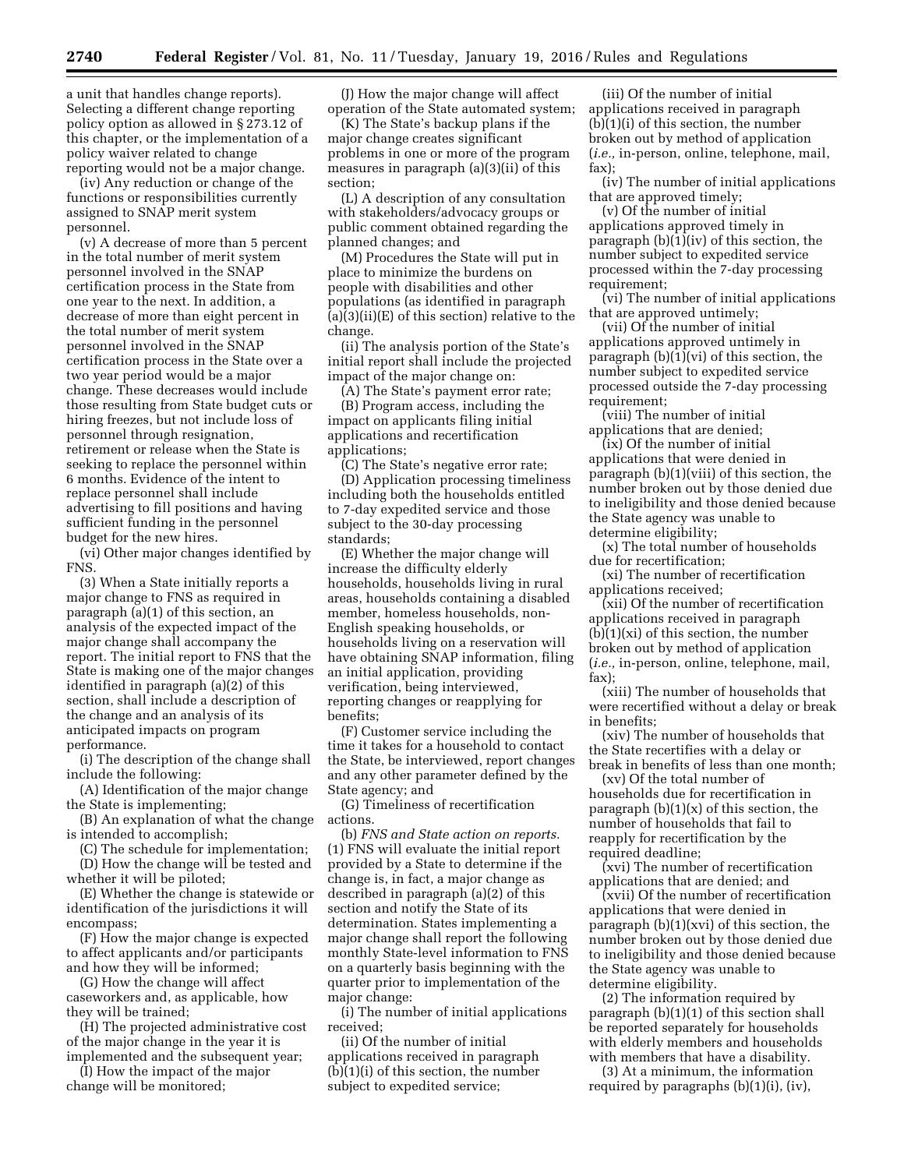a unit that handles change reports). Selecting a different change reporting policy option as allowed in § 273.12 of this chapter, or the implementation of a policy waiver related to change reporting would not be a major change.

(iv) Any reduction or change of the functions or responsibilities currently assigned to SNAP merit system personnel.

(v) A decrease of more than 5 percent in the total number of merit system personnel involved in the SNAP certification process in the State from one year to the next. In addition, a decrease of more than eight percent in the total number of merit system personnel involved in the SNAP certification process in the State over a two year period would be a major change. These decreases would include those resulting from State budget cuts or hiring freezes, but not include loss of personnel through resignation, retirement or release when the State is seeking to replace the personnel within 6 months. Evidence of the intent to replace personnel shall include advertising to fill positions and having sufficient funding in the personnel budget for the new hires.

(vi) Other major changes identified by FNS.

(3) When a State initially reports a major change to FNS as required in paragraph (a)(1) of this section, an analysis of the expected impact of the major change shall accompany the report. The initial report to FNS that the State is making one of the major changes identified in paragraph (a)(2) of this section, shall include a description of the change and an analysis of its anticipated impacts on program performance.

(i) The description of the change shall include the following:

(A) Identification of the major change the State is implementing;

(B) An explanation of what the change is intended to accomplish;

(C) The schedule for implementation; (D) How the change will be tested and

whether it will be piloted; (E) Whether the change is statewide or identification of the jurisdictions it will

encompass; (F) How the major change is expected to affect applicants and/or participants

and how they will be informed; (G) How the change will affect

caseworkers and, as applicable, how they will be trained;

(H) The projected administrative cost of the major change in the year it is implemented and the subsequent year;

(I) How the impact of the major change will be monitored;

(J) How the major change will affect operation of the State automated system;

(K) The State's backup plans if the major change creates significant problems in one or more of the program measures in paragraph (a)(3)(ii) of this section;

(L) A description of any consultation with stakeholders/advocacy groups or public comment obtained regarding the planned changes; and

(M) Procedures the State will put in place to minimize the burdens on people with disabilities and other populations (as identified in paragraph (a)(3)(ii)(E) of this section) relative to the change.

(ii) The analysis portion of the State's initial report shall include the projected impact of the major change on:

(A) The State's payment error rate;

(B) Program access, including the impact on applicants filing initial applications and recertification applications;

(C) The State's negative error rate; (D) Application processing timeliness including both the households entitled to 7-day expedited service and those subject to the 30-day processing standards;

(E) Whether the major change will increase the difficulty elderly households, households living in rural areas, households containing a disabled member, homeless households, non-English speaking households, or households living on a reservation will have obtaining SNAP information, filing an initial application, providing verification, being interviewed, reporting changes or reapplying for benefits;

(F) Customer service including the time it takes for a household to contact the State, be interviewed, report changes and any other parameter defined by the State agency; and

(G) Timeliness of recertification actions.

(b) *FNS and State action on reports.*  (1) FNS will evaluate the initial report provided by a State to determine if the change is, in fact, a major change as described in paragraph (a)(2) of this section and notify the State of its determination. States implementing a major change shall report the following monthly State-level information to FNS on a quarterly basis beginning with the quarter prior to implementation of the major change:

(i) The number of initial applications received;

(ii) Of the number of initial applications received in paragraph (b)(1)(i) of this section, the number subject to expedited service;

(iii) Of the number of initial applications received in paragraph (b)(1)(i) of this section, the number broken out by method of application (*i.e.,* in-person, online, telephone, mail, fax);

(iv) The number of initial applications that are approved timely;

(v) Of the number of initial applications approved timely in paragraph (b)(1)(iv) of this section, the number subject to expedited service processed within the 7-day processing requirement;

(vi) The number of initial applications that are approved untimely;

(vii) Of the number of initial applications approved untimely in paragraph (b)(1)(vi) of this section, the number subject to expedited service processed outside the 7-day processing requirement;

(viii) The number of initial applications that are denied;

(ix) Of the number of initial applications that were denied in paragraph (b)(1)(viii) of this section, the number broken out by those denied due to ineligibility and those denied because the State agency was unable to determine eligibility;

(x) The total number of households due for recertification;

(xi) The number of recertification applications received;

(xii) Of the number of recertification applications received in paragraph  $(b)(1)(xi)$  of this section, the number broken out by method of application (*i.e.,* in-person, online, telephone, mail, fax);

(xiii) The number of households that were recertified without a delay or break in benefits;

(xiv) The number of households that the State recertifies with a delay or break in benefits of less than one month;

(xv) Of the total number of households due for recertification in paragraph  $(b)(1)(x)$  of this section, the number of households that fail to reapply for recertification by the required deadline;

(xvi) The number of recertification applications that are denied; and

(xvii) Of the number of recertification applications that were denied in paragraph  $(b)(1)(xvi)$  of this section, the number broken out by those denied due to ineligibility and those denied because the State agency was unable to determine eligibility.

(2) The information required by paragraph (b)(1)(1) of this section shall be reported separately for households with elderly members and households with members that have a disability.

(3) At a minimum, the information required by paragraphs (b)(1)(i), (iv),